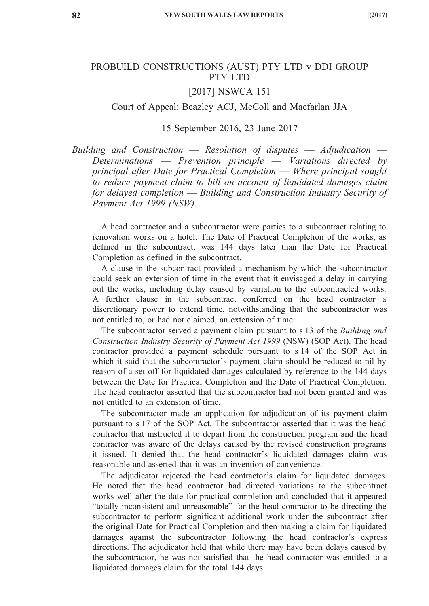## PROBUILD CONSTRUCTIONS (AUST) PTY LTD v DDI GROUP PTY LTD

#### [2017] NSWCA 151

#### Court of Appeal: Beazley ACJ, McColl and Macfarlan JJA

#### 15 September 2016, 23 June 2017

*Building and Construction* — *Resolution of disputes* — *Adjudication* — *Determinations* — *Prevention principle* — *Variations directed by principal after Date for Practical Completion* — *Where principal sought to reduce payment claim to bill on account of liquidated damages claim for delayed completion* — *Building and Construction Industry Security of Payment Act 1999 (NSW)*.

A head contractor and a subcontractor were parties to a subcontract relating to renovation works on a hotel. The Date of Practical Completion of the works, as defined in the subcontract, was 144 days later than the Date for Practical Completion as defined in the subcontract.

A clause in the subcontract provided a mechanism by which the subcontractor could seek an extension of time in the event that it envisaged a delay in carrying out the works, including delay caused by variation to the subcontracted works. A further clause in the subcontract conferred on the head contractor a discretionary power to extend time, notwithstanding that the subcontractor was not entitled to, or had not claimed, an extension of time.

The subcontractor served a payment claim pursuant to s 13 of the *Building and Construction Industry Security of Payment Act 1999* (NSW) (SOP Act). The head contractor provided a payment schedule pursuant to s 14 of the SOP Act in which it said that the subcontractor's payment claim should be reduced to nil by reason of a set-off for liquidated damages calculated by reference to the 144 days between the Date for Practical Completion and the Date of Practical Completion. The head contractor asserted that the subcontractor had not been granted and was not entitled to an extension of time.

The subcontractor made an application for adjudication of its payment claim pursuant to s 17 of the SOP Act. The subcontractor asserted that it was the head contractor that instructed it to depart from the construction program and the head contractor was aware of the delays caused by the revised construction programs it issued. It denied that the head contractor's liquidated damages claim was reasonable and asserted that it was an invention of convenience.

The adjudicator rejected the head contractor's claim for liquidated damages. He noted that the head contractor had directed variations to the subcontract works well after the date for practical completion and concluded that it appeared "totally inconsistent and unreasonable" for the head contractor to be directing the subcontractor to perform significant additional work under the subcontract after the original Date for Practical Completion and then making a claim for liquidated damages against the subcontractor following the head contractor's express directions. The adjudicator held that while there may have been delays caused by the subcontractor, he was not satisfied that the head contractor was entitled to a liquidated damages claim for the total 144 days.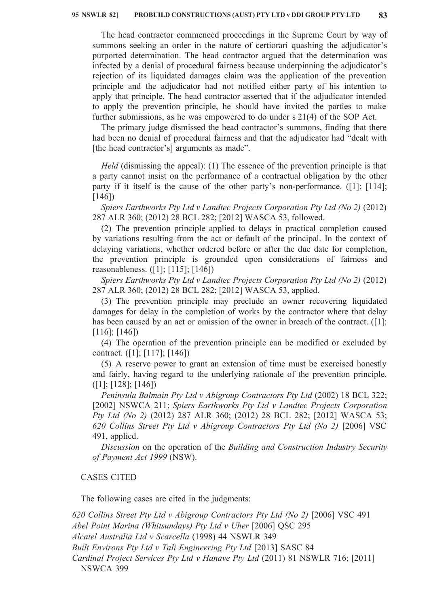The head contractor commenced proceedings in the Supreme Court by way of summons seeking an order in the nature of certiorari quashing the adjudicator's purported determination. The head contractor argued that the determination was infected by a denial of procedural fairness because underpinning the adjudicator's rejection of its liquidated damages claim was the application of the prevention principle and the adjudicator had not notified either party of his intention to apply that principle. The head contractor asserted that if the adjudicator intended to apply the prevention principle, he should have invited the parties to make further submissions, as he was empowered to do under s 21(4) of the SOP Act.

The primary judge dismissed the head contractor's summons, finding that there had been no denial of procedural fairness and that the adjudicator had "dealt with [the head contractor's] arguments as made".

*Held* (dismissing the appeal): (1) The essence of the prevention principle is that a party cannot insist on the performance of a contractual obligation by the other party if it itself is the cause of the other party's non-performance. ([1]; [114]; [146])

*Spiers Earthworks Pty Ltd v Landtec Projects Corporation Pty Ltd (No 2)* (2012) 287 ALR 360; (2012) 28 BCL 282; [2012] WASCA 53, followed.

(2) The prevention principle applied to delays in practical completion caused by variations resulting from the act or default of the principal. In the context of delaying variations, whether ordered before or after the due date for completion, the prevention principle is grounded upon considerations of fairness and reasonableness. ([1]; [115]; [146])

*Spiers Earthworks Pty Ltd v Landtec Projects Corporation Pty Ltd (No 2)* (2012) 287 ALR 360; (2012) 28 BCL 282; [2012] WASCA 53, applied.

(3) The prevention principle may preclude an owner recovering liquidated damages for delay in the completion of works by the contractor where that delay has been caused by an act or omission of the owner in breach of the contract. ([1]; [116]; [146])

(4) The operation of the prevention principle can be modified or excluded by contract. ([1]; [117]; [146])

(5) A reserve power to grant an extension of time must be exercised honestly and fairly, having regard to the underlying rationale of the prevention principle. ([1]; [128]; [146])

*Peninsula Balmain Pty Ltd v Abigroup Contractors Pty Ltd* (2002) 18 BCL 322; [2002] NSWCA 211; *Spiers Earthworks Pty Ltd v Landtec Projects Corporation Pty Ltd (No 2)* (2012) 287 ALR 360; (2012) 28 BCL 282; [2012] WASCA 53; *620 Collins Street Pty Ltd v Abigroup Contractors Pty Ltd (No 2)* [2006] VSC 491, applied.

*Discussion* on the operation of the *Building and Construction Industry Security of Payment Act 1999* (NSW).

#### CASES CITED

The following cases are cited in the judgments:

*620 Collins Street Pty Ltd v Abigroup Contractors Pty Ltd (No 2)* [2006] VSC 491 *Abel Point Marina (Whitsundays) Pty Ltd v Uher* [2006] QSC 295 *Alcatel Australia Ltd v Scarcella* (1998) 44 NSWLR 349 *Built Environs Pty Ltd v Tali Engineering Pty Ltd* [2013] SASC 84 *Cardinal Project Services Pty Ltd v Hanave Pty Ltd* (2011) 81 NSWLR 716; [2011] NSWCA 399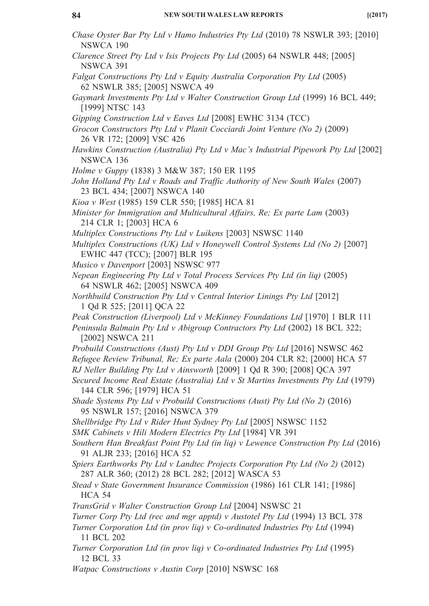| Chase Oyster Bar Pty Ltd v Hamo Industries Pty Ltd (2010) 78 NSWLR 393; [2010]<br>NSWCA 190                                       |
|-----------------------------------------------------------------------------------------------------------------------------------|
| Clarence Street Pty Ltd v Isis Projects Pty Ltd (2005) 64 NSWLR 448; [2005]<br>NSWCA 391                                          |
| Falgat Constructions Pty Ltd v Equity Australia Corporation Pty Ltd (2005)<br>62 NSWLR 385; [2005] NSWCA 49                       |
| Gaymark Investments Pty Ltd v Walter Construction Group Ltd (1999) 16 BCL 449;<br>[1999] NTSC 143                                 |
| Gipping Construction Ltd v Eaves Ltd [2008] EWHC 3134 (TCC)                                                                       |
| Grocon Constructors Pty Ltd v Planit Cocciardi Joint Venture (No 2) (2009)<br>26 VR 172; [2009] VSC 426                           |
| Hawkins Construction (Australia) Pty Ltd v Mac's Industrial Pipework Pty Ltd [2002]<br>NSWCA 136                                  |
| Holme v Guppy (1838) 3 M&W 387; 150 ER 1195                                                                                       |
| John Holland Pty Ltd v Roads and Traffic Authority of New South Wales (2007)<br>23 BCL 434; [2007] NSWCA 140                      |
| Kioa v West (1985) 159 CLR 550; [1985] HCA 81                                                                                     |
| Minister for Immigration and Multicultural Affairs, Re; Ex parte Lam (2003)<br>214 CLR 1; [2003] HCA 6                            |
| Multiplex Constructions Pty Ltd v Luikens [2003] NSWSC 1140                                                                       |
| Multiplex Constructions (UK) Ltd v Honeywell Control Systems Ltd (No 2) [2007]<br>EWHC 447 (TCC); [2007] BLR 195                  |
| Musico v Davenport [2003] NSWSC 977                                                                                               |
| Nepean Engineering Pty Ltd v Total Process Services Pty Ltd (in liq) (2005)<br>64 NSWLR 462; [2005] NSWCA 409                     |
| Northbuild Construction Pty Ltd v Central Interior Linings Pty Ltd [2012]<br>1 Qd R 525; [2011] QCA 22                            |
| Peak Construction (Liverpool) Ltd v McKinney Foundations Ltd [1970] 1 BLR 111                                                     |
| Peninsula Balmain Pty Ltd v Abigroup Contractors Pty Ltd (2002) 18 BCL 322;<br>[2002] NSWCA 211                                   |
| Probuild Constructions (Aust) Pty Ltd v DDI Group Pty Ltd [2016] NSWSC 462                                                        |
| Refugee Review Tribunal, Re; Ex parte Aala (2000) 204 CLR 82; [2000] HCA 57                                                       |
| RJ Neller Building Pty Ltd v Ainsworth [2009] 1 Qd R 390; [2008] QCA 397                                                          |
| Secured Income Real Estate (Australia) Ltd v St Martins Investments Pty Ltd (1979)<br>144 CLR 596; [1979] HCA 51                  |
| Shade Systems Pty Ltd v Probuild Constructions (Aust) Pty Ltd (No 2) (2016)<br>95 NSWLR 157; [2016] NSWCA 379                     |
| Shellbridge Pty Ltd v Rider Hunt Sydney Pty Ltd [2005] NSWSC 1152                                                                 |
| SMK Cabinets v Hili Modern Electrics Pty Ltd [1984] VR 391                                                                        |
| Southern Han Breakfast Point Pty Ltd (in liq) v Lewence Construction Pty Ltd (2016)<br>91 ALJR 233; [2016] HCA 52                 |
| Spiers Earthworks Pty Ltd v Landtec Projects Corporation Pty Ltd (No 2) (2012)<br>287 ALR 360; (2012) 28 BCL 282; [2012] WASCA 53 |
| Stead v State Government Insurance Commission (1986) 161 CLR 141; [1986]<br><b>HCA 54</b>                                         |
| TransGrid v Walter Construction Group Ltd [2004] NSWSC 21                                                                         |
| Turner Corp Pty Ltd (rec and mgr apptd) v Austotel Pty Ltd (1994) 13 BCL 378                                                      |
| Turner Corporation Ltd (in prov lig) $v$ Co-ordinated Industries Pty Ltd (1994)<br>11 BCL 202                                     |
| Turner Corporation Ltd (in prov lig) $v$ Co-ordinated Industries Pty Ltd (1995)<br>12 BCL 33                                      |
| <i>Watpac Constructions v Austin Corp</i> [2010] NSWSC 168                                                                        |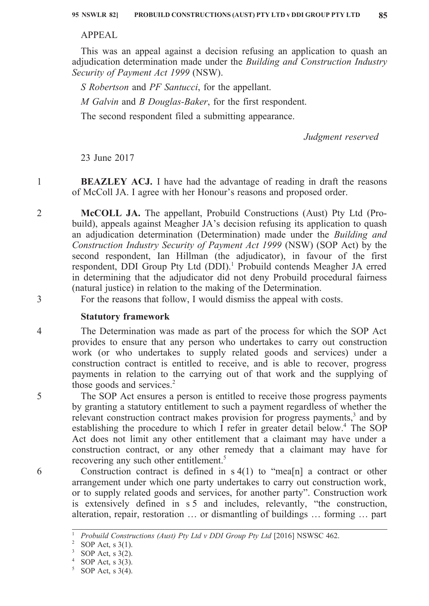## APPEAL

This was an appeal against a decision refusing an application to quash an adjudication determination made under the *Building and Construction Industry Security of Payment Act 1999* (NSW).

*S Robertson* and *PF Santucci*, for the appellant.

*M Galvin* and *B Douglas-Baker*, for the first respondent.

The second respondent filed a submitting appearance.

*Judgment reserved*

23 June 2017

1

2

3

4

5

6

**BEAZLEY ACJ.** I have had the advantage of reading in draft the reasons of McColl JA. I agree with her Honour's reasons and proposed order.

**McCOLL JA.** The appellant, Probuild Constructions (Aust) Pty Ltd (Probuild), appeals against Meagher JA's decision refusing its application to quash an adjudication determination (Determination) made under the *Building and Construction Industry Security of Payment Act 1999* (NSW) (SOP Act) by the second respondent, Ian Hillman (the adjudicator), in favour of the first respondent, DDI Group Pty Ltd (DDI).<sup>1</sup> Probuild contends Meagher JA erred in determining that the adjudicator did not deny Probuild procedural fairness (natural justice) in relation to the making of the Determination.

For the reasons that follow, I would dismiss the appeal with costs.

# **Statutory framework**

The Determination was made as part of the process for which the SOP Act provides to ensure that any person who undertakes to carry out construction work (or who undertakes to supply related goods and services) under a construction contract is entitled to receive, and is able to recover, progress payments in relation to the carrying out of that work and the supplying of those goods and services. $2$ 

The SOP Act ensures a person is entitled to receive those progress payments by granting a statutory entitlement to such a payment regardless of whether the relevant construction contract makes provision for progress payments, $3$  and by establishing the procedure to which I refer in greater detail below.<sup>4</sup> The SOP Act does not limit any other entitlement that a claimant may have under a construction contract, or any other remedy that a claimant may have for recovering any such other entitlement.<sup>5</sup>

Construction contract is defined in  $s(41)$  to "mea[n] a contract or other arrangement under which one party undertakes to carry out construction work, or to supply related goods and services, for another party". Construction work is extensively defined in s 5 and includes, relevantly, "the construction, alteration, repair, restoration … or dismantling of buildings … forming … part

<sup>&</sup>lt;sup>1</sup> *Probuild Constructions (Aust) Pty Ltd v DDI Group Pty Ltd* [2016] NSWSC 462.

<sup>&</sup>lt;sup>2</sup> SOP Act, s  $3(1)$ .

SOP Act,  $s$  3(2).

SOP Act,  $s$  3(3).

SOP Act,  $s$  3(4).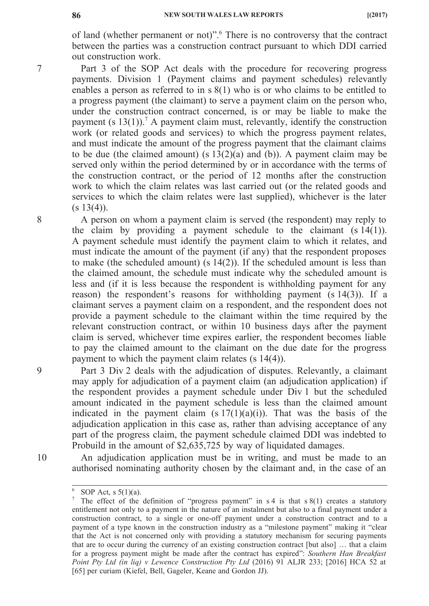7

8

9

10

of land (whether permanent or not)".6 There is no controversy that the contract between the parties was a construction contract pursuant to which DDI carried out construction work.

Part 3 of the SOP Act deals with the procedure for recovering progress payments. Division 1 (Payment claims and payment schedules) relevantly enables a person as referred to in s 8(1) who is or who claims to be entitled to a progress payment (the claimant) to serve a payment claim on the person who, under the construction contract concerned, is or may be liable to make the payment (s  $13(1)$ ).<sup>7</sup> A payment claim must, relevantly, identify the construction work (or related goods and services) to which the progress payment relates, and must indicate the amount of the progress payment that the claimant claims to be due (the claimed amount) (s  $13(2)(a)$  and (b)). A payment claim may be served only within the period determined by or in accordance with the terms of the construction contract, or the period of 12 months after the construction work to which the claim relates was last carried out (or the related goods and services to which the claim relates were last supplied), whichever is the later  $(s 13(4))$ .

A person on whom a payment claim is served (the respondent) may reply to the claim by providing a payment schedule to the claimant  $(s 14(1))$ . A payment schedule must identify the payment claim to which it relates, and must indicate the amount of the payment (if any) that the respondent proposes to make (the scheduled amount) (s 14(2)). If the scheduled amount is less than the claimed amount, the schedule must indicate why the scheduled amount is less and (if it is less because the respondent is withholding payment for any reason) the respondent's reasons for withholding payment (s 14(3)). If a claimant serves a payment claim on a respondent, and the respondent does not provide a payment schedule to the claimant within the time required by the relevant construction contract, or within 10 business days after the payment claim is served, whichever time expires earlier, the respondent becomes liable to pay the claimed amount to the claimant on the due date for the progress payment to which the payment claim relates (s 14(4)).

Part 3 Div 2 deals with the adjudication of disputes. Relevantly, a claimant may apply for adjudication of a payment claim (an adjudication application) if the respondent provides a payment schedule under Div 1 but the scheduled amount indicated in the payment schedule is less than the claimed amount indicated in the payment claim  $(s\ 17(1)(a)(i))$ . That was the basis of the adjudication application in this case as, rather than advising acceptance of any part of the progress claim, the payment schedule claimed DDI was indebted to Probuild in the amount of \$2,635,725 by way of liquidated damages.

An adjudication application must be in writing, and must be made to an authorised nominating authority chosen by the claimant and, in the case of an

 $\frac{6}{7}$  SOP Act, s 5(1)(a).

The effect of the definition of "progress payment" in  $s$  4 is that  $s$  8(1) creates a statutory entitlement not only to a payment in the nature of an instalment but also to a final payment under a construction contract, to a single or one-off payment under a construction contract and to a payment of a type known in the construction industry as a "milestone payment" making it "clear that the Act is not concerned only with providing a statutory mechanism for securing payments that are to occur during the currency of an existing construction contract [but also] … that a claim for a progress payment might be made after the contract has expired": *Southern Han Breakfast Point Pty Ltd (in liq) v Lewence Construction Pty Ltd* (2016) 91 ALJR 233; [2016] HCA 52 at [65] per curiam (Kiefel, Bell, Gageler, Keane and Gordon JJ).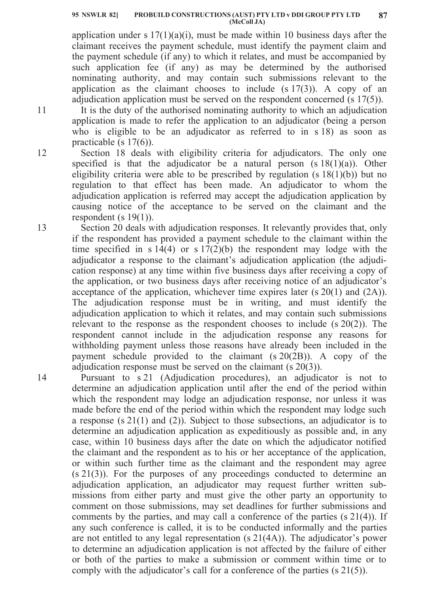#### **PROBUILD CONSTRUCTIONS (AUST) PTY LTD v DDI GROUP PTY LTD 95 NSWLR 82] 87 (McColl JA)**

application under s  $17(1)(a)(i)$ , must be made within 10 business days after the claimant receives the payment schedule, must identify the payment claim and the payment schedule (if any) to which it relates, and must be accompanied by such application fee (if any) as may be determined by the authorised nominating authority, and may contain such submissions relevant to the application as the claimant chooses to include  $(s\ 17(3))$ . A copy of an adjudication application must be served on the respondent concerned (s 17(5)).

It is the duty of the authorised nominating authority to which an adjudication application is made to refer the application to an adjudicator (being a person who is eligible to be an adjudicator as referred to in s 18) as soon as practicable (s 17(6)).

Section 18 deals with eligibility criteria for adjudicators. The only one specified is that the adjudicator be a natural person  $(s 18(1)(a))$ . Other eligibility criteria were able to be prescribed by regulation  $(s 18(1)(b))$  but no regulation to that effect has been made. An adjudicator to whom the adjudication application is referred may accept the adjudication application by causing notice of the acceptance to be served on the claimant and the respondent (s  $19(1)$ ).

Section 20 deals with adjudication responses. It relevantly provides that, only if the respondent has provided a payment schedule to the claimant within the time specified in s  $14(4)$  or s  $17(2)(b)$  the respondent may lodge with the adjudicator a response to the claimant's adjudication application (the adjudication response) at any time within five business days after receiving a copy of the application, or two business days after receiving notice of an adjudicator's acceptance of the application, whichever time expires later (s 20(1) and (2A)). The adjudication response must be in writing, and must identify the adjudication application to which it relates, and may contain such submissions relevant to the response as the respondent chooses to include (s 20(2)). The respondent cannot include in the adjudication response any reasons for withholding payment unless those reasons have already been included in the payment schedule provided to the claimant (s 20(2B)). A copy of the adjudication response must be served on the claimant (s 20(3)).

Pursuant to s 21 (Adjudication procedures), an adjudicator is not to determine an adjudication application until after the end of the period within which the respondent may lodge an adjudication response, nor unless it was made before the end of the period within which the respondent may lodge such a response (s 21(1) and (2)). Subject to those subsections, an adjudicator is to determine an adjudication application as expeditiously as possible and, in any case, within 10 business days after the date on which the adjudicator notified the claimant and the respondent as to his or her acceptance of the application, or within such further time as the claimant and the respondent may agree (s 21(3)). For the purposes of any proceedings conducted to determine an adjudication application, an adjudicator may request further written submissions from either party and must give the other party an opportunity to comment on those submissions, may set deadlines for further submissions and comments by the parties, and may call a conference of the parties (s 21(4)). If any such conference is called, it is to be conducted informally and the parties are not entitled to any legal representation (s 21(4A)). The adjudicator's power to determine an adjudication application is not affected by the failure of either or both of the parties to make a submission or comment within time or to comply with the adjudicator's call for a conference of the parties (s 21(5)).

12

13

11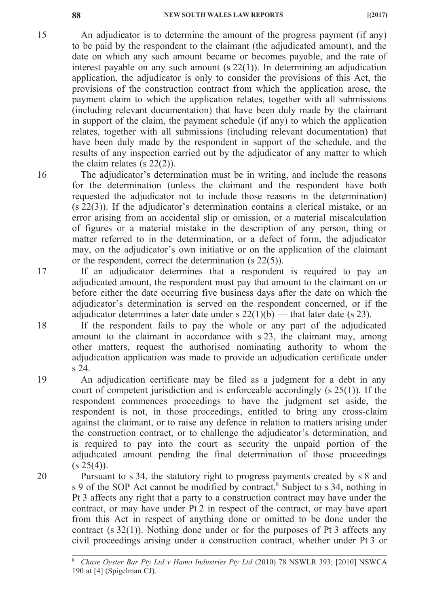An adjudicator is to determine the amount of the progress payment (if any) to be paid by the respondent to the claimant (the adjudicated amount), and the date on which any such amount became or becomes payable, and the rate of interest payable on any such amount (s 22(1)). In determining an adjudication application, the adjudicator is only to consider the provisions of this Act, the provisions of the construction contract from which the application arose, the payment claim to which the application relates, together with all submissions (including relevant documentation) that have been duly made by the claimant in support of the claim, the payment schedule (if any) to which the application relates, together with all submissions (including relevant documentation) that have been duly made by the respondent in support of the schedule, and the results of any inspection carried out by the adjudicator of any matter to which the claim relates (s 22(2)).

The adjudicator's determination must be in writing, and include the reasons for the determination (unless the claimant and the respondent have both requested the adjudicator not to include those reasons in the determination) (s 22(3)). If the adjudicator's determination contains a clerical mistake, or an error arising from an accidental slip or omission, or a material miscalculation of figures or a material mistake in the description of any person, thing or matter referred to in the determination, or a defect of form, the adjudicator may, on the adjudicator's own initiative or on the application of the claimant or the respondent, correct the determination (s 22(5)).

If an adjudicator determines that a respondent is required to pay an adjudicated amount, the respondent must pay that amount to the claimant on or before either the date occurring five business days after the date on which the adjudicator's determination is served on the respondent concerned, or if the adjudicator determines a later date under s  $22(1)(b)$  — that later date (s 23).

If the respondent fails to pay the whole or any part of the adjudicated amount to the claimant in accordance with s 23, the claimant may, among other matters, request the authorised nominating authority to whom the adjudication application was made to provide an adjudication certificate under s 24.

An adjudication certificate may be filed as a judgment for a debt in any court of competent jurisdiction and is enforceable accordingly (s 25(1)). If the respondent commences proceedings to have the judgment set aside, the respondent is not, in those proceedings, entitled to bring any cross-claim against the claimant, or to raise any defence in relation to matters arising under the construction contract, or to challenge the adjudicator's determination, and is required to pay into the court as security the unpaid portion of the adjudicated amount pending the final determination of those proceedings  $(s 25(4))$ .

Pursuant to s 34, the statutory right to progress payments created by s 8 and s 9 of the SOP Act cannot be modified by contract.<sup>8</sup> Subject to s 34, nothing in Pt 3 affects any right that a party to a construction contract may have under the contract, or may have under Pt 2 in respect of the contract, or may have apart from this Act in respect of anything done or omitted to be done under the contract (s 32(1)). Nothing done under or for the purposes of Pt 3 affects any civil proceedings arising under a construction contract, whether under Pt 3 or

15

18

19

<sup>8</sup> *Chase Oyster Bar Pty Ltd v Hamo Industries Pty Ltd* (2010) 78 NSWLR 393; [2010] NSWCA 190 at [4] (Spigelman CJ).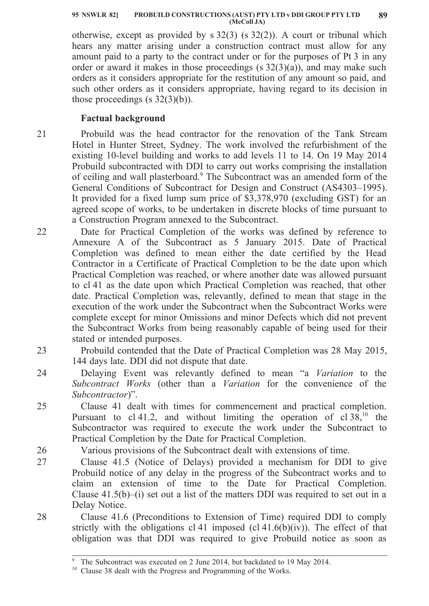**PROBUILD CONSTRUCTIONS (AUST) PTY LTD v DDI GROUP PTY LTD 95 NSWLR 82] 89 (McColl JA)**

otherwise, except as provided by s 32(3) (s 32(2)). A court or tribunal which hears any matter arising under a construction contract must allow for any amount paid to a party to the contract under or for the purposes of Pt 3 in any order or award it makes in those proceedings  $(s 32(3)(a))$ , and may make such orders as it considers appropriate for the restitution of any amount so paid, and such other orders as it considers appropriate, having regard to its decision in those proceedings (s  $32(3)(b)$ ).

# **Factual background**

21 Probuild was the head contractor for the renovation of the Tank Stream Hotel in Hunter Street, Sydney. The work involved the refurbishment of the existing 10-level building and works to add levels 11 to 14. On 19 May 2014 Probuild subcontracted with DDI to carry out works comprising the installation of ceiling and wall plasterboard.9 The Subcontract was an amended form of the General Conditions of Subcontract for Design and Construct (AS4303–1995). It provided for a fixed lump sum price of \$3,378,970 (excluding GST) for an agreed scope of works, to be undertaken in discrete blocks of time pursuant to a Construction Program annexed to the Subcontract.

Date for Practical Completion of the works was defined by reference to Annexure A of the Subcontract as 5 January 2015. Date of Practical Completion was defined to mean either the date certified by the Head Contractor in a Certificate of Practical Completion to be the date upon which Practical Completion was reached, or where another date was allowed pursuant to cl 41 as the date upon which Practical Completion was reached, that other date. Practical Completion was, relevantly, defined to mean that stage in the execution of the work under the Subcontract when the Subcontract Works were complete except for minor Omissions and minor Defects which did not prevent the Subcontract Works from being reasonably capable of being used for their stated or intended purposes.

Probuild contended that the Date of Practical Completion was 28 May 2015, 144 days late. DDI did not dispute that date.

24 Delaying Event was relevantly defined to mean "a *Variation* to the *Subcontract Works* (other than a *Variation* for the convenience of the *Subcontractor*)".

25 Clause 41 dealt with times for commencement and practical completion. Pursuant to  $cl$  41.2, and without limiting the operation of  $cl$  38,<sup>10</sup> the Subcontractor was required to execute the work under the Subcontract to Practical Completion by the Date for Practical Completion.

26 27

28

23

22

Various provisions of the Subcontract dealt with extensions of time.

Clause 41.5 (Notice of Delays) provided a mechanism for DDI to give Probuild notice of any delay in the progress of the Subcontract works and to claim an extension of time to the Date for Practical Completion. Clause 41.5(b)–(i) set out a list of the matters DDI was required to set out in a Delay Notice.

Clause 41.6 (Preconditions to Extension of Time) required DDI to comply strictly with the obligations cl 41 imposed (cl  $41.6(b)(iv)$ ). The effect of that obligation was that DDI was required to give Probuild notice as soon as

The Subcontract was executed on 2 June 2014, but backdated to 19 May 2014.

<sup>&</sup>lt;sup>10</sup> Clause 38 dealt with the Progress and Programming of the Works.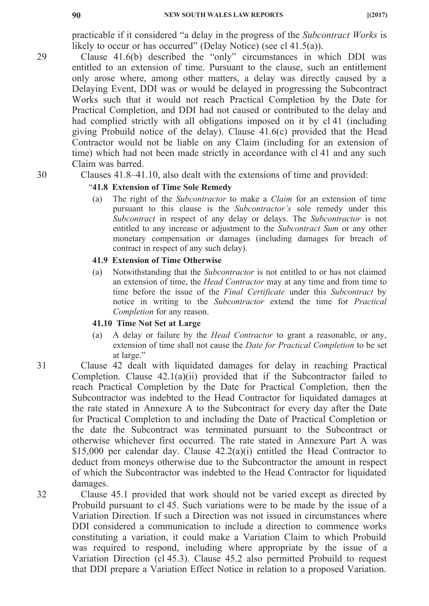practicable if it considered "a delay in the progress of the *Subcontract Works* is likely to occur or has occurred" (Delay Notice) (see cl 41.5(a)).

- Clause 41.6(b) described the "only" circumstances in which DDI was entitled to an extension of time. Pursuant to the clause, such an entitlement only arose where, among other matters, a delay was directly caused by a Delaying Event, DDI was or would be delayed in progressing the Subcontract Works such that it would not reach Practical Completion by the Date for Practical Completion, and DDI had not caused or contributed to the delay and had complied strictly with all obligations imposed on it by cl 41 (including giving Probuild notice of the delay). Clause 41.6(c) provided that the Head Contractor would not be liable on any Claim (including for an extension of time) which had not been made strictly in accordance with cl 41 and any such Claim was barred.
	- Clauses 41.8–41.10, also dealt with the extensions of time and provided:

## "**41.8 Extension of Time Sole Remedy**

(a) The right of the *Subcontractor* to make a *Claim* for an extension of time pursuant to this clause is the *Subcontractor's* sole remedy under this *Subcontract* in respect of any delay or delays. The *Subcontractor* is not entitled to any increase or adjustment to the *Subcontract Sum* or any other monetary compensation or damages (including damages for breach of contract in respect of any such delay).

### **41.9 Extension of Time Otherwise**

(a) Notwithstanding that the *Subcontractor* is not entitled to or has not claimed an extension of time, the *Head Contractor* may at any time and from time to time before the issue of the *Final Certificate* under this *Subcontract* by notice in writing to the *Subcontractor* extend the time for *Practical Completion* for any reason.

### **41.10 Time Not Set at Large**

- (a) A delay or failure by the *Head Contractor* to grant a reasonable, or any, extension of time shall not cause the *Date for Practical Completion* to be set at large."
- Clause 42 dealt with liquidated damages for delay in reaching Practical Completion. Clause 42.1(a)(ii) provided that if the Subcontractor failed to reach Practical Completion by the Date for Practical Completion, then the Subcontractor was indebted to the Head Contractor for liquidated damages at the rate stated in Annexure A to the Subcontract for every day after the Date for Practical Completion to and including the Date of Practical Completion or the date the Subcontract was terminated pursuant to the Subcontract or otherwise whichever first occurred. The rate stated in Annexure Part A was \$15,000 per calendar day. Clause 42.2(a)(i) entitled the Head Contractor to deduct from moneys otherwise due to the Subcontractor the amount in respect of which the Subcontractor was indebted to the Head Contractor for liquidated damages.

Clause 45.1 provided that work should not be varied except as directed by Probuild pursuant to cl 45. Such variations were to be made by the issue of a Variation Direction. If such a Direction was not issued in circumstances where DDI considered a communication to include a direction to commence works constituting a variation, it could make a Variation Claim to which Probuild was required to respond, including where appropriate by the issue of a Variation Direction (cl 45.3). Clause 45.2 also permitted Probuild to request that DDI prepare a Variation Effect Notice in relation to a proposed Variation.

30

29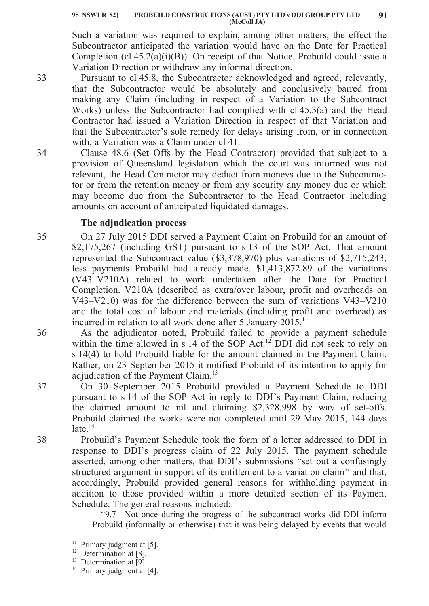Such a variation was required to explain, among other matters, the effect the Subcontractor anticipated the variation would have on the Date for Practical Completion (cl 45.2(a)(i)(B)). On receipt of that Notice, Probuild could issue a Variation Direction or withdraw any informal direction.

33

34

Pursuant to cl 45.8, the Subcontractor acknowledged and agreed, relevantly, that the Subcontractor would be absolutely and conclusively barred from making any Claim (including in respect of a Variation to the Subcontract Works) unless the Subcontractor had complied with cl 45.3(a) and the Head Contractor had issued a Variation Direction in respect of that Variation and that the Subcontractor's sole remedy for delays arising from, or in connection with, a Variation was a Claim under cl 41.

Clause 48.6 (Set Offs by the Head Contractor) provided that subject to a provision of Queensland legislation which the court was informed was not relevant, the Head Contractor may deduct from moneys due to the Subcontractor or from the retention money or from any security any money due or which may become due from the Subcontractor to the Head Contractor including amounts on account of anticipated liquidated damages.

# **The adjudication process**

35 On 27 July 2015 DDI served a Payment Claim on Probuild for an amount of \$2,175,267 (including GST) pursuant to s 13 of the SOP Act. That amount represented the Subcontract value (\$3,378,970) plus variations of \$2,715,243, less payments Probuild had already made. \$1,413,872.89 of the variations (V43–V210A) related to work undertaken after the Date for Practical Completion. V210A (described as extra/over labour, profit and overheads on V43–V210) was for the difference between the sum of variations V43–V210 and the total cost of labour and materials (including profit and overhead) as incurred in relation to all work done after 5 January  $2015$ .<sup>11</sup>

As the adjudicator noted, Probuild failed to provide a payment schedule within the time allowed in s 14 of the SOP Act.<sup>12</sup> DDI did not seek to rely on s 14(4) to hold Probuild liable for the amount claimed in the Payment Claim. Rather, on 23 September 2015 it notified Probuild of its intention to apply for adjudication of the Payment Claim.<sup>13</sup>

On 30 September 2015 Probuild provided a Payment Schedule to DDI pursuant to s 14 of the SOP Act in reply to DDI's Payment Claim, reducing the claimed amount to nil and claiming \$2,328,998 by way of set-offs. Probuild claimed the works were not completed until 29 May 2015, 144 days  $late.<sup>14</sup>$ 

38 Probuild's Payment Schedule took the form of a letter addressed to DDI in response to DDI's progress claim of 22 July 2015. The payment schedule asserted, among other matters, that DDI's submissions "set out a confusingly structured argument in support of its entitlement to a variation claim" and that, accordingly, Probuild provided general reasons for withholding payment in addition to those provided within a more detailed section of its Payment Schedule. The general reasons included:

"9.7 Not once during the progress of the subcontract works did DDI inform Probuild (informally or otherwise) that it was being delayed by events that would

37

 $11$  Primary judgment at [5].

<sup>&</sup>lt;sup>12</sup> Determination at [8].

 $13$  Determination at [9].

 $14$  Primary judgment at [4].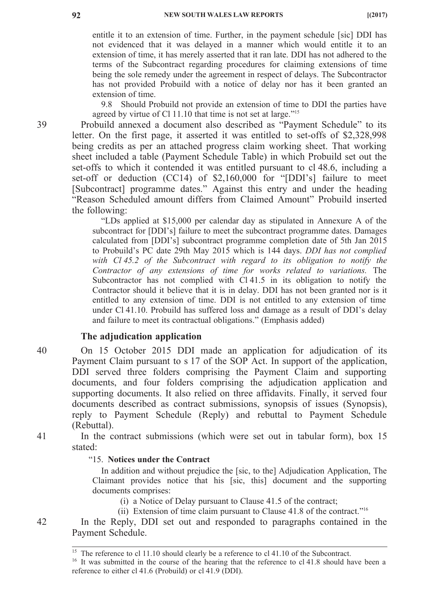entitle it to an extension of time. Further, in the payment schedule [sic] DDI has not evidenced that it was delayed in a manner which would entitle it to an extension of time, it has merely asserted that it ran late. DDI has not adhered to the terms of the Subcontract regarding procedures for claiming extensions of time being the sole remedy under the agreement in respect of delays. The Subcontractor has not provided Probuild with a notice of delay nor has it been granted an extension of time.

9.8 Should Probuild not provide an extension of time to DDI the parties have agreed by virtue of Cl 11.10 that time is not set at large."<sup>15</sup>

Probuild annexed a document also described as "Payment Schedule" to its letter. On the first page, it asserted it was entitled to set-offs of \$2,328,998 being credits as per an attached progress claim working sheet. That working sheet included a table (Payment Schedule Table) in which Probuild set out the set-offs to which it contended it was entitled pursuant to cl 48.6, including a set-off or deduction (CC14) of \$2,160,000 for "[DDI's] failure to meet [Subcontract] programme dates." Against this entry and under the heading "Reason Scheduled amount differs from Claimed Amount" Probuild inserted the following:

"LDs applied at \$15,000 per calendar day as stipulated in Annexure A of the subcontract for [DDI's] failure to meet the subcontract programme dates. Damages calculated from [DDI's] subcontract programme completion date of 5th Jan 2015 to Probuild's PC date 29th May 2015 which is 144 days. *DDI has not complied with Cl 45.2 of the Subcontract with regard to its obligation to notify the Contractor of any extensions of time for works related to variations.* The Subcontractor has not complied with Cl 41.5 in its obligation to notify the Contractor should it believe that it is in delay. DDI has not been granted nor is it entitled to any extension of time. DDI is not entitled to any extension of time under Cl 41.10. Probuild has suffered loss and damage as a result of DDI's delay and failure to meet its contractual obligations." (Emphasis added)

# **The adjudication application**

- On 15 October 2015 DDI made an application for adjudication of its Payment Claim pursuant to s 17 of the SOP Act. In support of the application, DDI served three folders comprising the Payment Claim and supporting documents, and four folders comprising the adjudication application and supporting documents. It also relied on three affidavits. Finally, it served four documents described as contract submissions, synopsis of issues (Synopsis), reply to Payment Schedule (Reply) and rebuttal to Payment Schedule (Rebuttal).
	- In the contract submissions (which were set out in tabular form), box 15 stated:

### "15. **Notices under the Contract**

In addition and without prejudice the [sic, to the] Adjudication Application, The Claimant provides notice that his [sic, this] document and the supporting documents comprises:

- (i) a Notice of Delay pursuant to Clause 41.5 of the contract;
- (ii) Extension of time claim pursuant to Clause 41.8 of the contract."16

In the Reply, DDI set out and responded to paragraphs contained in the Payment Schedule.

39

40

41

<sup>&</sup>lt;sup>15</sup> The reference to cl 11.10 should clearly be a reference to cl 41.10 of the Subcontract.

<sup>&</sup>lt;sup>16</sup> It was submitted in the course of the hearing that the reference to cl 41.8 should have been a reference to either cl 41.6 (Probuild) or cl 41.9 (DDI).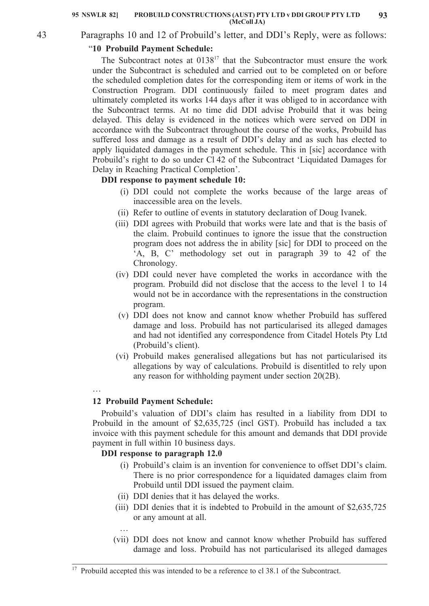43

# Paragraphs 10 and 12 of Probuild's letter, and DDI's Reply, were as follows:

## "**10 Probuild Payment Schedule:**

The Subcontract notes at  $0138^{17}$  that the Subcontractor must ensure the work under the Subcontract is scheduled and carried out to be completed on or before the scheduled completion dates for the corresponding item or items of work in the Construction Program. DDI continuously failed to meet program dates and ultimately completed its works 144 days after it was obliged to in accordance with the Subcontract terms. At no time did DDI advise Probuild that it was being delayed. This delay is evidenced in the notices which were served on DDI in accordance with the Subcontract throughout the course of the works, Probuild has suffered loss and damage as a result of DDI's delay and as such has elected to apply liquidated damages in the payment schedule. This in [sic] accordance with Probuild's right to do so under Cl 42 of the Subcontract 'Liquidated Damages for Delay in Reaching Practical Completion'.

## **DDI response to payment schedule 10:**

- (i) DDI could not complete the works because of the large areas of inaccessible area on the levels.
- (ii) Refer to outline of events in statutory declaration of Doug Ivanek.
- (iii) DDI agrees with Probuild that works were late and that is the basis of the claim. Probuild continues to ignore the issue that the construction program does not address the in ability [sic] for DDI to proceed on the 'A, B, C' methodology set out in paragraph 39 to 42 of the Chronology.
- (iv) DDI could never have completed the works in accordance with the program. Probuild did not disclose that the access to the level 1 to 14 would not be in accordance with the representations in the construction program.
- (v) DDI does not know and cannot know whether Probuild has suffered damage and loss. Probuild has not particularised its alleged damages and had not identified any correspondence from Citadel Hotels Pty Ltd (Probuild's client).
- (vi) Probuild makes generalised allegations but has not particularised its allegations by way of calculations. Probuild is disentitled to rely upon any reason for withholding payment under section 20(2B).
- …

# **12 Probuild Payment Schedule:**

Probuild's valuation of DDI's claim has resulted in a liability from DDI to Probuild in the amount of \$2,635,725 (incl GST). Probuild has included a tax invoice with this payment schedule for this amount and demands that DDI provide payment in full within 10 business days.

## **DDI response to paragraph 12.0**

…

- (i) Probuild's claim is an invention for convenience to offset DDI's claim. There is no prior correspondence for a liquidated damages claim from Probuild until DDI issued the payment claim.
- (ii) DDI denies that it has delayed the works.
- (iii) DDI denies that it is indebted to Probuild in the amount of \$2,635,725 or any amount at all.
- (vii) DDI does not know and cannot know whether Probuild has suffered damage and loss. Probuild has not particularised its alleged damages

<sup>&</sup>lt;sup>17</sup> Probuild accepted this was intended to be a reference to cl 38.1 of the Subcontract.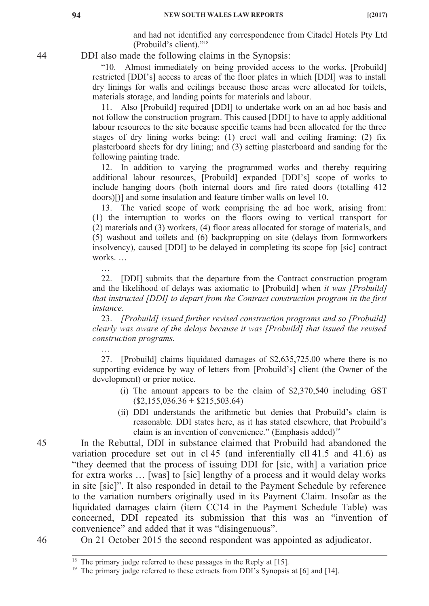and had not identified any correspondence from Citadel Hotels Pty Ltd (Probuild's client)."18

DDI also made the following claims in the Synopsis:

"10. Almost immediately on being provided access to the works, [Probuild] restricted [DDI's] access to areas of the floor plates in which [DDI] was to install dry linings for walls and ceilings because those areas were allocated for toilets, materials storage, and landing points for materials and labour.

11. Also [Probuild] required [DDI] to undertake work on an ad hoc basis and not follow the construction program. This caused [DDI] to have to apply additional labour resources to the site because specific teams had been allocated for the three stages of dry lining works being: (1) erect wall and ceiling framing; (2) fix plasterboard sheets for dry lining; and (3) setting plasterboard and sanding for the following painting trade.

12. In addition to varying the programmed works and thereby requiring additional labour resources, [Probuild] expanded [DDI's] scope of works to include hanging doors (both internal doors and fire rated doors (totalling 412 doors)[)] and some insulation and feature timber walls on level 10.

13. The varied scope of work comprising the ad hoc work, arising from: (1) the interruption to works on the floors owing to vertical transport for (2) materials and (3) workers, (4) floor areas allocated for storage of materials, and (5) washout and toilets and (6) backpropping on site (delays from formworkers insolvency), caused [DDI] to be delayed in completing its scope fop [sic] contract works. …

22. [DDI] submits that the departure from the Contract construction program and the likelihood of delays was axiomatic to [Probuild] when *it was [Probuild] that instructed [DDI] to depart from the Contract construction program in the first instance*.

23. *[Probuild] issued further revised construction programs and so [Probuild] clearly was aware of the delays because it was [Probuild] that issued the revised construction programs.*

27. [Probuild] claims liquidated damages of \$2,635,725.00 where there is no supporting evidence by way of letters from [Probuild's] client (the Owner of the development) or prior notice.

- (i) The amount appears to be the claim of \$2,370,540 including GST  $(S2, 155, 036.36 + $215, 503.64)$
- (ii) DDI understands the arithmetic but denies that Probuild's claim is reasonable. DDI states here, as it has stated elsewhere, that Probuild's claim is an invention of convenience." (Emphasis added)<sup>19</sup>

In the Rebuttal, DDI in substance claimed that Probuild had abandoned the variation procedure set out in cl 45 (and inferentially cll 41.5 and 41.6) as "they deemed that the process of issuing DDI for [sic, with] a variation price for extra works … [was] to [sic] lengthy of a process and it would delay works in site [sic]". It also responded in detail to the Payment Schedule by reference to the variation numbers originally used in its Payment Claim. Insofar as the liquidated damages claim (item CC14 in the Payment Schedule Table) was concerned, DDI repeated its submission that this was an "invention of convenience" and added that it was "disingenuous".

On 21 October 2015 the second respondent was appointed as adjudicator.

…

…

<sup>&</sup>lt;sup>18</sup> The primary judge referred to these passages in the Reply at [15].

<sup>&</sup>lt;sup>19</sup> The primary judge referred to these extracts from DDI's Synopsis at [6] and [14].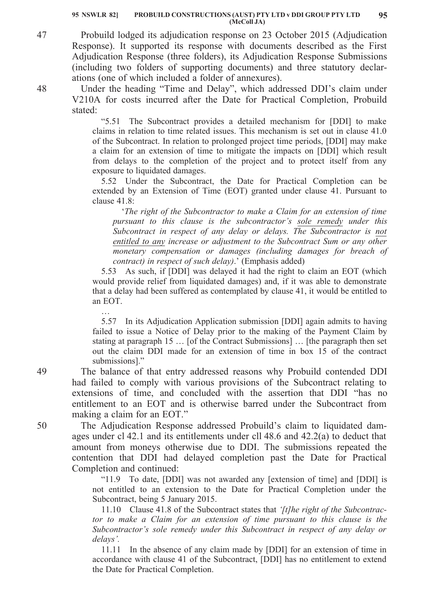Probuild lodged its adjudication response on 23 October 2015 (Adjudication Response). It supported its response with documents described as the First Adjudication Response (three folders), its Adjudication Response Submissions (including two folders of supporting documents) and three statutory declarations (one of which included a folder of annexures).

Under the heading "Time and Delay", which addressed DDI's claim under V210A for costs incurred after the Date for Practical Completion, Probuild stated:

"5.51 The Subcontract provides a detailed mechanism for [DDI] to make claims in relation to time related issues. This mechanism is set out in clause 41.0 of the Subcontract. In relation to prolonged project time periods, [DDI] may make a claim for an extension of time to mitigate the impacts on [DDI] which result from delays to the completion of the project and to protect itself from any exposure to liquidated damages.

5.52 Under the Subcontract, the Date for Practical Completion can be extended by an Extension of Time (EOT) granted under clause 41. Pursuant to clause 41.8:

'*The right of the Subcontractor to make a Claim for an extension of time pursuant to this clause is the subcontractor's sole remedy under this Subcontract in respect of any delay or delays. The Subcontractor is not entitled to any increase or adjustment to the Subcontract Sum or any other monetary compensation or damages (including damages for breach of contract) in respect of such delay)*.' (Emphasis added)

5.53 As such, if [DDI] was delayed it had the right to claim an EOT (which would provide relief from liquidated damages) and, if it was able to demonstrate that a delay had been suffered as contemplated by clause 41, it would be entitled to an EOT.

5.57 In its Adjudication Application submission [DDI] again admits to having failed to issue a Notice of Delay prior to the making of the Payment Claim by stating at paragraph 15 … [of the Contract Submissions] … [the paragraph then set out the claim DDI made for an extension of time in box 15 of the contract submissions]."

The balance of that entry addressed reasons why Probuild contended DDI had failed to comply with various provisions of the Subcontract relating to extensions of time, and concluded with the assertion that DDI "has no entitlement to an EOT and is otherwise barred under the Subcontract from making a claim for an EOT."

The Adjudication Response addressed Probuild's claim to liquidated damages under cl 42.1 and its entitlements under cll 48.6 and 42.2(a) to deduct that amount from moneys otherwise due to DDI. The submissions repeated the contention that DDI had delayed completion past the Date for Practical Completion and continued:

"11.9 To date, [DDI] was not awarded any [extension of time] and [DDI] is not entitled to an extension to the Date for Practical Completion under the Subcontract, being 5 January 2015.

11.10 Clause 41.8 of the Subcontract states that *'[t]he right of the Subcontractor to make a Claim for an extension of time pursuant to this clause is the Subcontractor's sole remedy under this Subcontract in respect of any delay or delays'.*

11.11 In the absence of any claim made by [DDI] for an extension of time in accordance with clause 41 of the Subcontract, [DDI] has no entitlement to extend the Date for Practical Completion.

50

49

…

48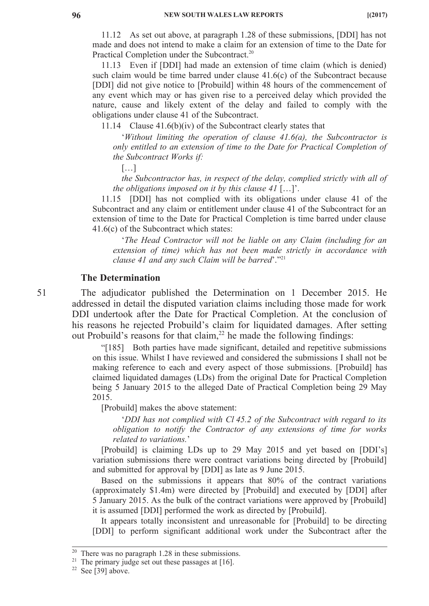11.12 As set out above, at paragraph 1.28 of these submissions, [DDI] has not made and does not intend to make a claim for an extension of time to the Date for Practical Completion under the Subcontract.<sup>20</sup>

11.13 Even if [DDI] had made an extension of time claim (which is denied) such claim would be time barred under clause 41.6(c) of the Subcontract because [DDI] did not give notice to [Probuild] within 48 hours of the commencement of any event which may or has given rise to a perceived delay which provided the nature, cause and likely extent of the delay and failed to comply with the obligations under clause 41 of the Subcontract.

11.14 Clause 41.6(b)(iv) of the Subcontract clearly states that

'*Without limiting the operation of clause 41.6(a), the Subcontractor is only entitled to an extension of time to the Date for Practical Completion of the Subcontract Works if:*

[…]

*the Subcontractor has, in respect of the delay, complied strictly with all of the obligations imposed on it by this clause 41* […]'.

11.15 [DDI] has not complied with its obligations under clause 41 of the Subcontract and any claim or entitlement under clause 41 of the Subcontract for an extension of time to the Date for Practical Completion is time barred under clause 41.6(c) of the Subcontract which states:

'*The Head Contractor will not be liable on any Claim (including for an extension of time) which has not been made strictly in accordance with clause 41 and any such Claim will be barred*'."21

#### **The Determination**

The adjudicator published the Determination on 1 December 2015. He addressed in detail the disputed variation claims including those made for work DDI undertook after the Date for Practical Completion. At the conclusion of his reasons he rejected Probuild's claim for liquidated damages. After setting out Probuild's reasons for that claim, $^{22}$  he made the following findings:

"[185] Both parties have made significant, detailed and repetitive submissions on this issue. Whilst I have reviewed and considered the submissions I shall not be making reference to each and every aspect of those submissions. [Probuild] has claimed liquidated damages (LDs) from the original Date for Practical Completion being 5 January 2015 to the alleged Date of Practical Completion being 29 May 2015.

[Probuild] makes the above statement:

'*DDI has not complied with Cl 45.2 of the Subcontract with regard to its obligation to notify the Contractor of any extensions of time for works related to variations.*'

[Probuild] is claiming LDs up to 29 May 2015 and yet based on [DDI's] variation submissions there were contract variations being directed by [Probuild] and submitted for approval by [DDI] as late as 9 June 2015.

Based on the submissions it appears that 80% of the contract variations (approximately \$1.4m) were directed by [Probuild] and executed by [DDI] after 5 January 2015. As the bulk of the contract variations were approved by [Probuild] it is assumed [DDI] performed the work as directed by [Probuild].

It appears totally inconsistent and unreasonable for [Probuild] to be directing [DDI] to perform significant additional work under the Subcontract after the

<sup>&</sup>lt;sup>20</sup> There was no paragraph  $1.28$  in these submissions.

<sup>&</sup>lt;sup>21</sup> The primary judge set out these passages at  $[16]$ .

<sup>&</sup>lt;sup>22</sup> See [39] above.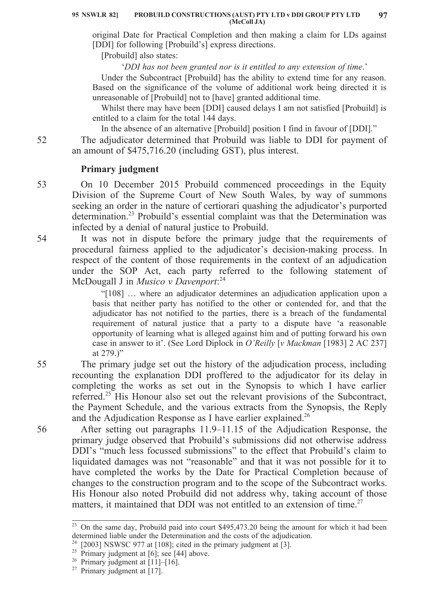original Date for Practical Completion and then making a claim for LDs against [DDI] for following [Probuild's] express directions.

[Probuild] also states:

'*DDI has not been granted nor is it entitled to any extension of time*.'

Under the Subcontract [Probuild] has the ability to extend time for any reason. Based on the significance of the volume of additional work being directed it is unreasonable of [Probuild] not to [have] granted additional time.

Whilst there may have been [DDI] caused delays I am not satisfied [Probuild] is entitled to a claim for the total 144 days.

In the absence of an alternative [Probuild] position I find in favour of [DDI]."

The adjudicator determined that Probuild was liable to DDI for payment of an amount of \$475,716.20 (including GST), plus interest.

# **Primary judgment**

On 10 December 2015 Probuild commenced proceedings in the Equity Division of the Supreme Court of New South Wales, by way of summons seeking an order in the nature of certiorari quashing the adjudicator's purported determination.<sup>23</sup> Probuild's essential complaint was that the Determination was infected by a denial of natural justice to Probuild.

It was not in dispute before the primary judge that the requirements of procedural fairness applied to the adjudicator's decision-making process. In respect of the content of those requirements in the context of an adjudication under the SOP Act, each party referred to the following statement of McDougall J in *Musico v Davenport*: 24

> "[108] … where an adjudicator determines an adjudication application upon a basis that neither party has notified to the other or contended for, and that the adjudicator has not notified to the parties, there is a breach of the fundamental requirement of natural justice that a party to a dispute have 'a reasonable opportunity of learning what is alleged against him and of putting forward his own case in answer to it'. (See Lord Diplock in *O'Reilly* [*v Mackman* [1983] 2 AC 237] at 279.)"

The primary judge set out the history of the adjudication process, including recounting the explanation DDI proffered to the adjudicator for its delay in completing the works as set out in the Synopsis to which I have earlier referred.<sup>25</sup> His Honour also set out the relevant provisions of the Subcontract, the Payment Schedule, and the various extracts from the Synopsis, the Reply and the Adjudication Response as I have earlier explained.<sup>26</sup>

After setting out paragraphs 11.9–11.15 of the Adjudication Response, the primary judge observed that Probuild's submissions did not otherwise address DDI's "much less focussed submissions" to the effect that Probuild's claim to liquidated damages was not "reasonable" and that it was not possible for it to have completed the works by the Date for Practical Completion because of changes to the construction program and to the scope of the Subcontract works. His Honour also noted Probuild did not address why, taking account of those matters, it maintained that DDI was not entitled to an extension of time. $27$ 

52

53

54

55

<sup>&</sup>lt;sup>23</sup> On the same day, Probuild paid into court \$495,473.20 being the amount for which it had been determined liable under the Determination and the costs of the adjudication.

 $24$  [2003] NSWSC 977 at [108]; cited in the primary judgment at [3].

<sup>&</sup>lt;sup>25</sup> Primary judgment at [6]; see [44] above.

<sup>&</sup>lt;sup>26</sup> Primary judgment at  $[11]$ – $[16]$ .

<sup>&</sup>lt;sup>27</sup> Primary judgment at  $\overline{17}$ .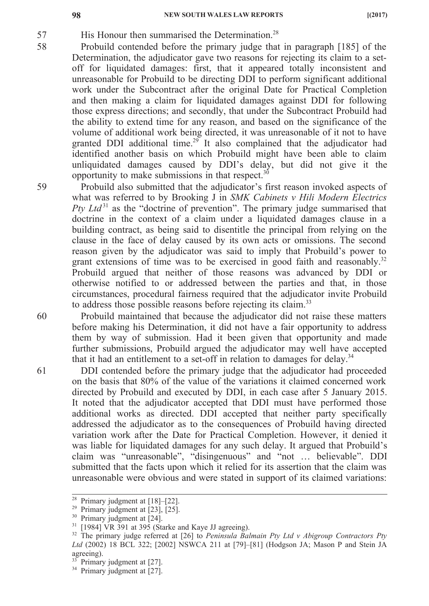58

59

60

61

**98 NEW SOUTH WALES LAW REPORTS** [(2017)

57 His Honour then summarised the Determination.<sup>28</sup>

- Probuild contended before the primary judge that in paragraph [185] of the Determination, the adjudicator gave two reasons for rejecting its claim to a setoff for liquidated damages: first, that it appeared totally inconsistent and unreasonable for Probuild to be directing DDI to perform significant additional work under the Subcontract after the original Date for Practical Completion and then making a claim for liquidated damages against DDI for following those express directions; and secondly, that under the Subcontract Probuild had the ability to extend time for any reason, and based on the significance of the volume of additional work being directed, it was unreasonable of it not to have granted DDI additional time.<sup>29</sup> It also complained that the adjudicator had identified another basis on which Probuild might have been able to claim unliquidated damages caused by DDI's delay, but did not give it the opportunity to make submissions in that respect. $30$ 
	- Probuild also submitted that the adjudicator's first reason invoked aspects of what was referred to by Brooking J in *SMK Cabinets v Hili Modern Electrics Pty Ltd*<sup>31</sup> as the "doctrine of prevention". The primary judge summarised that doctrine in the context of a claim under a liquidated damages clause in a building contract, as being said to disentitle the principal from relying on the clause in the face of delay caused by its own acts or omissions. The second reason given by the adjudicator was said to imply that Probuild's power to grant extensions of time was to be exercised in good faith and reasonably.<sup>32</sup> Probuild argued that neither of those reasons was advanced by DDI or otherwise notified to or addressed between the parties and that, in those circumstances, procedural fairness required that the adjudicator invite Probuild to address those possible reasons before rejecting its claim.<sup>33</sup>

Probuild maintained that because the adjudicator did not raise these matters before making his Determination, it did not have a fair opportunity to address them by way of submission. Had it been given that opportunity and made further submissions, Probuild argued the adjudicator may well have accepted that it had an entitlement to a set-off in relation to damages for delay.<sup>34</sup>

DDI contended before the primary judge that the adjudicator had proceeded on the basis that 80% of the value of the variations it claimed concerned work directed by Probuild and executed by DDI, in each case after 5 January 2015. It noted that the adjudicator accepted that DDI must have performed those additional works as directed. DDI accepted that neither party specifically addressed the adjudicator as to the consequences of Probuild having directed variation work after the Date for Practical Completion. However, it denied it was liable for liquidated damages for any such delay. It argued that Probuild's claim was "unreasonable", "disingenuous" and "not … believable". DDI submitted that the facts upon which it relied for its assertion that the claim was unreasonable were obvious and were stated in support of its claimed variations:

<sup>&</sup>lt;sup>28</sup> Primary judgment at  $[18]$ - $[22]$ .

<sup>&</sup>lt;sup>29</sup> Primary judgment at  $[23]$ ,  $[25]$ .

<sup>&</sup>lt;sup>30</sup> Primary judgment at [24].

<sup>31</sup> [1984] VR 391 at 395 (Starke and Kaye JJ agreeing).

<sup>32</sup> The primary judge referred at [26] to *Peninsula Balmain Pty Ltd v Abigroup Contractors Pty Ltd* (2002) 18 BCL 322; [2002] NSWCA 211 at [79]–[81] (Hodgson JA; Mason P and Stein JA agreeing).

 $33$  Primary judgment at [27].

<sup>&</sup>lt;sup>34</sup> Primary judgment at [27].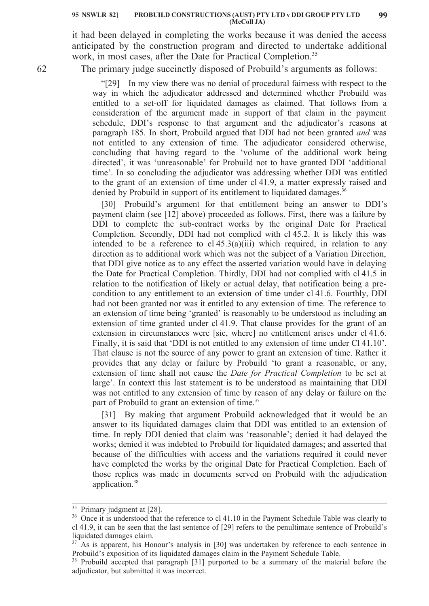#### **PROBUILD CONSTRUCTIONS (AUST) PTY LTD v DDI GROUP PTY LTD 95 NSWLR 82] 99 (McColl JA)**

it had been delayed in completing the works because it was denied the access anticipated by the construction program and directed to undertake additional work, in most cases, after the Date for Practical Completion.<sup>35</sup>

62

The primary judge succinctly disposed of Probuild's arguments as follows:

"[29] In my view there was no denial of procedural fairness with respect to the way in which the adjudicator addressed and determined whether Probuild was entitled to a set-off for liquidated damages as claimed. That follows from a consideration of the argument made in support of that claim in the payment schedule, DDI's response to that argument and the adjudicator's reasons at paragraph 185. In short, Probuild argued that DDI had not been granted *and* was not entitled to any extension of time. The adjudicator considered otherwise, concluding that having regard to the 'volume of the additional work being directed', it was 'unreasonable' for Probuild not to have granted DDI 'additional time'. In so concluding the adjudicator was addressing whether DDI was entitled to the grant of an extension of time under cl 41.9, a matter expressly raised and denied by Probuild in support of its entitlement to liquidated damages.<sup>36</sup>

[30] Probuild's argument for that entitlement being an answer to DDI's payment claim (see [12] above) proceeded as follows. First, there was a failure by DDI to complete the sub-contract works by the original Date for Practical Completion. Secondly, DDI had not complied with cl 45.2. It is likely this was intended to be a reference to cl  $45.3(a)(iii)$  which required, in relation to any direction as to additional work which was not the subject of a Variation Direction, that DDI give notice as to any effect the asserted variation would have in delaying the Date for Practical Completion. Thirdly, DDI had not complied with cl 41.5 in relation to the notification of likely or actual delay, that notification being a precondition to any entitlement to an extension of time under cl 41.6. Fourthly, DDI had not been granted nor was it entitled to any extension of time. The reference to an extension of time being 'granted' is reasonably to be understood as including an extension of time granted under cl 41.9. That clause provides for the grant of an extension in circumstances were [sic, where] no entitlement arises under cl 41.6. Finally, it is said that 'DDI is not entitled to any extension of time under Cl 41.10'. That clause is not the source of any power to grant an extension of time. Rather it provides that any delay or failure by Probuild 'to grant a reasonable, or any, extension of time shall not cause the *Date for Practical Completion* to be set at large'. In context this last statement is to be understood as maintaining that DDI was not entitled to any extension of time by reason of any delay or failure on the part of Probuild to grant an extension of time.<sup>37</sup>

[31] By making that argument Probuild acknowledged that it would be an answer to its liquidated damages claim that DDI was entitled to an extension of time. In reply DDI denied that claim was 'reasonable'; denied it had delayed the works; denied it was indebted to Probuild for liquidated damages; and asserted that because of the difficulties with access and the variations required it could never have completed the works by the original Date for Practical Completion. Each of those replies was made in documents served on Probuild with the adjudication application.<sup>38</sup>

<sup>&</sup>lt;sup>35</sup> Primary judgment at [28].

<sup>&</sup>lt;sup>36</sup> Once it is understood that the reference to cl 41.10 in the Payment Schedule Table was clearly to cl 41.9, it can be seen that the last sentence of [29] refers to the penultimate sentence of Probuild's liquidated damages claim.

 $37$ <sup>37</sup> As is apparent, his Honour's analysis in [30] was undertaken by reference to each sentence in Probuild's exposition of its liquidated damages claim in the Payment Schedule Table.

<sup>&</sup>lt;sup>38</sup> Probuild accepted that paragraph [31] purported to be a summary of the material before the adjudicator, but submitted it was incorrect.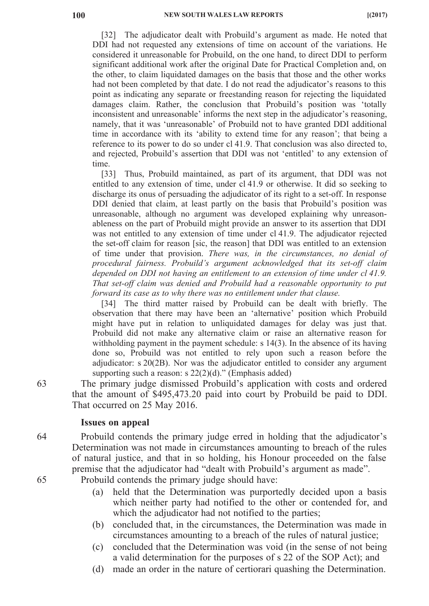[32] The adjudicator dealt with Probuild's argument as made. He noted that DDI had not requested any extensions of time on account of the variations. He considered it unreasonable for Probuild, on the one hand, to direct DDI to perform significant additional work after the original Date for Practical Completion and, on the other, to claim liquidated damages on the basis that those and the other works had not been completed by that date. I do not read the adjudicator's reasons to this point as indicating any separate or freestanding reason for rejecting the liquidated damages claim. Rather, the conclusion that Probuild's position was 'totally inconsistent and unreasonable' informs the next step in the adjudicator's reasoning, namely, that it was 'unreasonable' of Probuild not to have granted DDI additional time in accordance with its 'ability to extend time for any reason'; that being a reference to its power to do so under cl 41.9. That conclusion was also directed to, and rejected, Probuild's assertion that DDI was not 'entitled' to any extension of time.

[33] Thus, Probuild maintained, as part of its argument, that DDI was not entitled to any extension of time, under cl 41.9 or otherwise. It did so seeking to discharge its onus of persuading the adjudicator of its right to a set-off. In response DDI denied that claim, at least partly on the basis that Probuild's position was unreasonable, although no argument was developed explaining why unreasonableness on the part of Probuild might provide an answer to its assertion that DDI was not entitled to any extension of time under cl 41.9. The adjudicator rejected the set-off claim for reason [sic, the reason] that DDI was entitled to an extension of time under that provision. *There was, in the circumstances, no denial of procedural fairness. Probuild's argument acknowledged that its set-off claim depended on DDI not having an entitlement to an extension of time under cl 41.9. That set-off claim was denied and Probuild had a reasonable opportunity to put forward its case as to why there was no entitlement under that clause.*

[34] The third matter raised by Probuild can be dealt with briefly. The observation that there may have been an 'alternative' position which Probuild might have put in relation to unliquidated damages for delay was just that. Probuild did not make any alternative claim or raise an alternative reason for withholding payment in the payment schedule: s 14(3). In the absence of its having done so, Probuild was not entitled to rely upon such a reason before the adjudicator: s 20(2B). Nor was the adjudicator entitled to consider any argument supporting such a reason: s  $22(2)(d)$ ." (Emphasis added)

The primary judge dismissed Probuild's application with costs and ordered that the amount of \$495,473.20 paid into court by Probuild be paid to DDI. That occurred on 25 May 2016.

#### **Issues on appeal**

64 65 Probuild contends the primary judge erred in holding that the adjudicator's Determination was not made in circumstances amounting to breach of the rules of natural justice, and that in so holding, his Honour proceeded on the false premise that the adjudicator had "dealt with Probuild's argument as made".

Probuild contends the primary judge should have:

- (a) held that the Determination was purportedly decided upon a basis which neither party had notified to the other or contended for, and which the adjudicator had not notified to the parties;
- (b) concluded that, in the circumstances, the Determination was made in circumstances amounting to a breach of the rules of natural justice;
- (c) concluded that the Determination was void (in the sense of not being a valid determination for the purposes of s 22 of the SOP Act); and
- (d) made an order in the nature of certiorari quashing the Determination.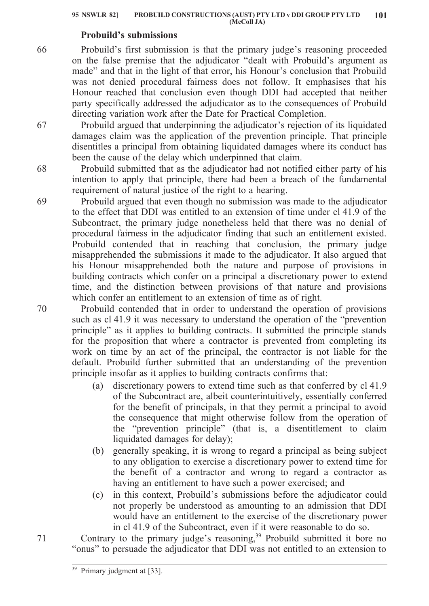## **Probuild's submissions**

Probuild's first submission is that the primary judge's reasoning proceeded on the false premise that the adjudicator "dealt with Probuild's argument as made" and that in the light of that error, his Honour's conclusion that Probuild was not denied procedural fairness does not follow. It emphasises that his Honour reached that conclusion even though DDI had accepted that neither party specifically addressed the adjudicator as to the consequences of Probuild directing variation work after the Date for Practical Completion.

Probuild argued that underpinning the adjudicator's rejection of its liquidated damages claim was the application of the prevention principle. That principle disentitles a principal from obtaining liquidated damages where its conduct has been the cause of the delay which underpinned that claim.

Probuild submitted that as the adjudicator had not notified either party of his intention to apply that principle, there had been a breach of the fundamental requirement of natural justice of the right to a hearing.

Probuild argued that even though no submission was made to the adjudicator to the effect that DDI was entitled to an extension of time under cl 41.9 of the Subcontract, the primary judge nonetheless held that there was no denial of procedural fairness in the adjudicator finding that such an entitlement existed. Probuild contended that in reaching that conclusion, the primary judge misapprehended the submissions it made to the adjudicator. It also argued that his Honour misapprehended both the nature and purpose of provisions in building contracts which confer on a principal a discretionary power to extend time, and the distinction between provisions of that nature and provisions which confer an entitlement to an extension of time as of right.

Probuild contended that in order to understand the operation of provisions such as cl 41.9 it was necessary to understand the operation of the "prevention principle" as it applies to building contracts. It submitted the principle stands for the proposition that where a contractor is prevented from completing its work on time by an act of the principal, the contractor is not liable for the default. Probuild further submitted that an understanding of the prevention principle insofar as it applies to building contracts confirms that:

- (a) discretionary powers to extend time such as that conferred by cl 41.9 of the Subcontract are, albeit counterintuitively, essentially conferred for the benefit of principals, in that they permit a principal to avoid the consequence that might otherwise follow from the operation of the "prevention principle" (that is, a disentitlement to claim liquidated damages for delay);
- (b) generally speaking, it is wrong to regard a principal as being subject to any obligation to exercise a discretionary power to extend time for the benefit of a contractor and wrong to regard a contractor as having an entitlement to have such a power exercised; and
- (c) in this context, Probuild's submissions before the adjudicator could not properly be understood as amounting to an admission that DDI would have an entitlement to the exercise of the discretionary power in cl 41.9 of the Subcontract, even if it were reasonable to do so.

Contrary to the primary judge's reasoning,<sup>39</sup> Probuild submitted it bore no "onus" to persuade the adjudicator that DDI was not entitled to an extension to

70

66

67

68

69

<sup>&</sup>lt;sup>39</sup> Primary judgment at [33].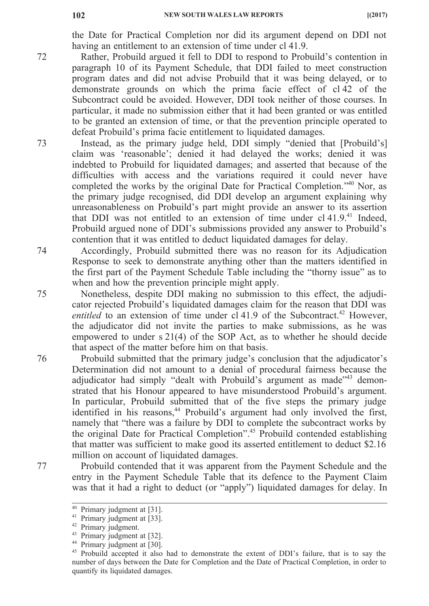the Date for Practical Completion nor did its argument depend on DDI not having an entitlement to an extension of time under cl 41.9.

- Rather, Probuild argued it fell to DDI to respond to Probuild's contention in paragraph 10 of its Payment Schedule, that DDI failed to meet construction program dates and did not advise Probuild that it was being delayed, or to demonstrate grounds on which the prima facie effect of cl 42 of the Subcontract could be avoided. However, DDI took neither of those courses. In particular, it made no submission either that it had been granted or was entitled to be granted an extension of time, or that the prevention principle operated to defeat Probuild's prima facie entitlement to liquidated damages.
- 73 74 Instead, as the primary judge held, DDI simply "denied that [Probuild's] claim was 'reasonable'; denied it had delayed the works; denied it was indebted to Probuild for liquidated damages; and asserted that because of the difficulties with access and the variations required it could never have completed the works by the original Date for Practical Completion."40 Nor, as the primary judge recognised, did DDI develop an argument explaining why unreasonableness on Probuild's part might provide an answer to its assertion that DDI was not entitled to an extension of time under  $c141.9<sup>41</sup>$  Indeed, Probuild argued none of DDI's submissions provided any answer to Probuild's contention that it was entitled to deduct liquidated damages for delay.

Accordingly, Probuild submitted there was no reason for its Adjudication Response to seek to demonstrate anything other than the matters identified in the first part of the Payment Schedule Table including the "thorny issue" as to when and how the prevention principle might apply.

Nonetheless, despite DDI making no submission to this effect, the adjudicator rejected Probuild's liquidated damages claim for the reason that DDI was *entitled* to an extension of time under cl 41.9 of the Subcontract.<sup>42</sup> However, the adjudicator did not invite the parties to make submissions, as he was empowered to under s 21(4) of the SOP Act, as to whether he should decide that aspect of the matter before him on that basis.

Probuild submitted that the primary judge's conclusion that the adjudicator's Determination did not amount to a denial of procedural fairness because the adjudicator had simply "dealt with Probuild's argument as made"<sup>43</sup> demonstrated that his Honour appeared to have misunderstood Probuild's argument. In particular, Probuild submitted that of the five steps the primary judge identified in his reasons,<sup>44</sup> Probuild's argument had only involved the first, namely that "there was a failure by DDI to complete the subcontract works by the original Date for Practical Completion".<sup>45</sup> Probuild contended establishing that matter was sufficient to make good its asserted entitlement to deduct \$2.16 million on account of liquidated damages.

Probuild contended that it was apparent from the Payment Schedule and the entry in the Payment Schedule Table that its defence to the Payment Claim was that it had a right to deduct (or "apply") liquidated damages for delay. In

72

75

76

<sup>&</sup>lt;sup>40</sup> Primary judgment at [31].

<sup>&</sup>lt;sup>41</sup> Primary judgment at [33].

<sup>42</sup> Primary judgment.

<sup>43</sup> Primary judgment at [32].

<sup>44</sup> Primary judgment at [30].

<sup>&</sup>lt;sup>45</sup> Probuild accepted it also had to demonstrate the extent of DDI's failure, that is to say the number of days between the Date for Completion and the Date of Practical Completion, in order to quantify its liquidated damages.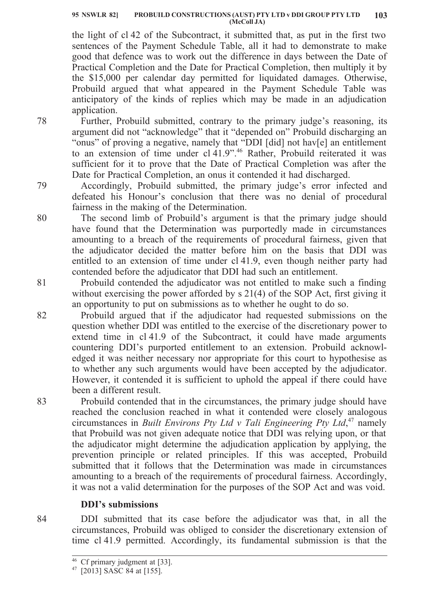#### **PROBUILD CONSTRUCTIONS (AUST) PTY LTD v DDI GROUP PTY LTD 95 NSWLR 82] 103 (McColl JA)**

the light of cl 42 of the Subcontract, it submitted that, as put in the first two sentences of the Payment Schedule Table, all it had to demonstrate to make good that defence was to work out the difference in days between the Date of Practical Completion and the Date for Practical Completion, then multiply it by the \$15,000 per calendar day permitted for liquidated damages. Otherwise, Probuild argued that what appeared in the Payment Schedule Table was anticipatory of the kinds of replies which may be made in an adjudication application.

Further, Probuild submitted, contrary to the primary judge's reasoning, its argument did not "acknowledge" that it "depended on" Probuild discharging an "onus" of proving a negative, namely that "DDI [did] not hav[e] an entitlement to an extension of time under cl 41.9".<sup>46</sup> Rather, Probuild reiterated it was sufficient for it to prove that the Date of Practical Completion was after the Date for Practical Completion, an onus it contended it had discharged.

Accordingly, Probuild submitted, the primary judge's error infected and defeated his Honour's conclusion that there was no denial of procedural fairness in the making of the Determination.

The second limb of Probuild's argument is that the primary judge should have found that the Determination was purportedly made in circumstances amounting to a breach of the requirements of procedural fairness, given that the adjudicator decided the matter before him on the basis that DDI was entitled to an extension of time under cl 41.9, even though neither party had contended before the adjudicator that DDI had such an entitlement.

Probuild contended the adjudicator was not entitled to make such a finding without exercising the power afforded by s 21(4) of the SOP Act, first giving it an opportunity to put on submissions as to whether he ought to do so.

Probuild argued that if the adjudicator had requested submissions on the question whether DDI was entitled to the exercise of the discretionary power to extend time in cl 41.9 of the Subcontract, it could have made arguments countering DDI's purported entitlement to an extension. Probuild acknowledged it was neither necessary nor appropriate for this court to hypothesise as to whether any such arguments would have been accepted by the adjudicator. However, it contended it is sufficient to uphold the appeal if there could have been a different result.

Probuild contended that in the circumstances, the primary judge should have reached the conclusion reached in what it contended were closely analogous circumstances in *Built Environs Pty Ltd v Tali Engineering Pty Ltd*, <sup>47</sup> namely that Probuild was not given adequate notice that DDI was relying upon, or that the adjudicator might determine the adjudication application by applying, the prevention principle or related principles. If this was accepted, Probuild submitted that it follows that the Determination was made in circumstances amounting to a breach of the requirements of procedural fairness. Accordingly, it was not a valid determination for the purposes of the SOP Act and was void.

# **DDI's submissions**

DDI submitted that its case before the adjudicator was that, in all the circumstances, Probuild was obliged to consider the discretionary extension of time cl 41.9 permitted. Accordingly, its fundamental submission is that the

79

80

78

82

81

83

<sup>46</sup> Cf primary judgment at [33].

<sup>47</sup> [2013] SASC 84 at [155].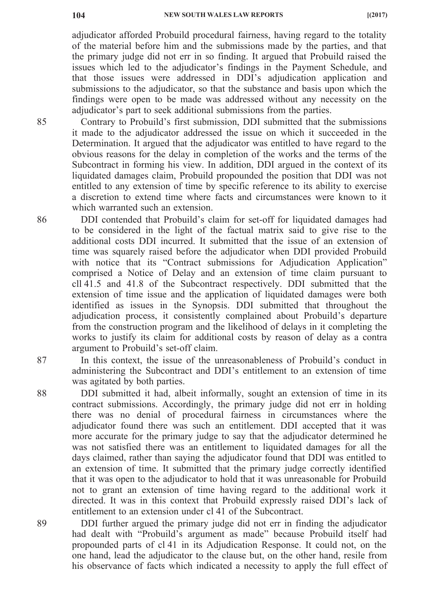adjudicator afforded Probuild procedural fairness, having regard to the totality of the material before him and the submissions made by the parties, and that the primary judge did not err in so finding. It argued that Probuild raised the issues which led to the adjudicator's findings in the Payment Schedule, and that those issues were addressed in DDI's adjudication application and submissions to the adjudicator, so that the substance and basis upon which the findings were open to be made was addressed without any necessity on the adjudicator's part to seek additional submissions from the parties.

Contrary to Probuild's first submission, DDI submitted that the submissions it made to the adjudicator addressed the issue on which it succeeded in the Determination. It argued that the adjudicator was entitled to have regard to the obvious reasons for the delay in completion of the works and the terms of the Subcontract in forming his view. In addition, DDI argued in the context of its liquidated damages claim, Probuild propounded the position that DDI was not entitled to any extension of time by specific reference to its ability to exercise a discretion to extend time where facts and circumstances were known to it which warranted such an extension.

DDI contended that Probuild's claim for set-off for liquidated damages had to be considered in the light of the factual matrix said to give rise to the additional costs DDI incurred. It submitted that the issue of an extension of time was squarely raised before the adjudicator when DDI provided Probuild with notice that its "Contract submissions for Adjudication Application" comprised a Notice of Delay and an extension of time claim pursuant to cll 41.5 and 41.8 of the Subcontract respectively. DDI submitted that the extension of time issue and the application of liquidated damages were both identified as issues in the Synopsis. DDI submitted that throughout the adjudication process, it consistently complained about Probuild's departure from the construction program and the likelihood of delays in it completing the works to justify its claim for additional costs by reason of delay as a contra argument to Probuild's set-off claim.

In this context, the issue of the unreasonableness of Probuild's conduct in administering the Subcontract and DDI's entitlement to an extension of time was agitated by both parties.

DDI submitted it had, albeit informally, sought an extension of time in its contract submissions. Accordingly, the primary judge did not err in holding there was no denial of procedural fairness in circumstances where the adjudicator found there was such an entitlement. DDI accepted that it was more accurate for the primary judge to say that the adjudicator determined he was not satisfied there was an entitlement to liquidated damages for all the days claimed, rather than saying the adjudicator found that DDI was entitled to an extension of time. It submitted that the primary judge correctly identified that it was open to the adjudicator to hold that it was unreasonable for Probuild not to grant an extension of time having regard to the additional work it directed. It was in this context that Probuild expressly raised DDI's lack of entitlement to an extension under cl 41 of the Subcontract.

DDI further argued the primary judge did not err in finding the adjudicator had dealt with "Probuild's argument as made" because Probuild itself had propounded parts of cl 41 in its Adjudication Response. It could not, on the one hand, lead the adjudicator to the clause but, on the other hand, resile from his observance of facts which indicated a necessity to apply the full effect of

86

87

88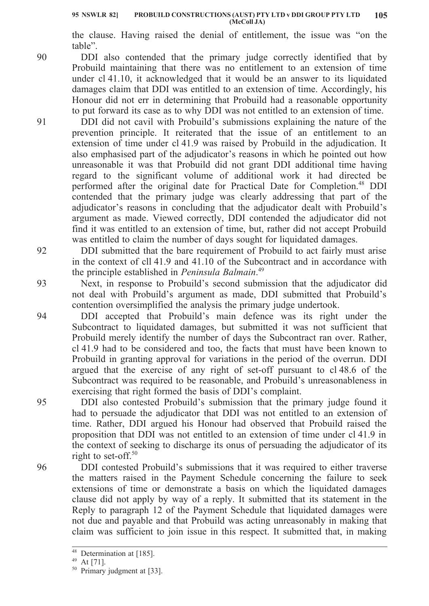the clause. Having raised the denial of entitlement, the issue was "on the table".

DDI also contended that the primary judge correctly identified that by Probuild maintaining that there was no entitlement to an extension of time under cl 41.10, it acknowledged that it would be an answer to its liquidated damages claim that DDI was entitled to an extension of time. Accordingly, his Honour did not err in determining that Probuild had a reasonable opportunity to put forward its case as to why DDI was not entitled to an extension of time.

DDI did not cavil with Probuild's submissions explaining the nature of the prevention principle. It reiterated that the issue of an entitlement to an extension of time under cl 41.9 was raised by Probuild in the adjudication. It also emphasised part of the adjudicator's reasons in which he pointed out how unreasonable it was that Probuild did not grant DDI additional time having regard to the significant volume of additional work it had directed be performed after the original date for Practical Date for Completion.<sup>48</sup> DDI contended that the primary judge was clearly addressing that part of the adjudicator's reasons in concluding that the adjudicator dealt with Probuild's argument as made. Viewed correctly, DDI contended the adjudicator did not find it was entitled to an extension of time, but, rather did not accept Probuild was entitled to claim the number of days sought for liquidated damages.

DDI submitted that the bare requirement of Probuild to act fairly must arise in the context of cll 41.9 and 41.10 of the Subcontract and in accordance with the principle established in *Peninsula Balmain*. 49

Next, in response to Probuild's second submission that the adjudicator did not deal with Probuild's argument as made, DDI submitted that Probuild's contention oversimplified the analysis the primary judge undertook.

DDI accepted that Probuild's main defence was its right under the Subcontract to liquidated damages, but submitted it was not sufficient that Probuild merely identify the number of days the Subcontract ran over. Rather, cl 41.9 had to be considered and too, the facts that must have been known to Probuild in granting approval for variations in the period of the overrun. DDI argued that the exercise of any right of set-off pursuant to cl 48.6 of the Subcontract was required to be reasonable, and Probuild's unreasonableness in exercising that right formed the basis of DDI's complaint.

DDI also contested Probuild's submission that the primary judge found it had to persuade the adjudicator that DDI was not entitled to an extension of time. Rather, DDI argued his Honour had observed that Probuild raised the proposition that DDI was not entitled to an extension of time under cl 41.9 in the context of seeking to discharge its onus of persuading the adjudicator of its right to set-off. $50$ 

DDI contested Probuild's submissions that it was required to either traverse the matters raised in the Payment Schedule concerning the failure to seek extensions of time or demonstrate a basis on which the liquidated damages clause did not apply by way of a reply. It submitted that its statement in the Reply to paragraph 12 of the Payment Schedule that liquidated damages were not due and payable and that Probuild was acting unreasonably in making that claim was sufficient to join issue in this respect. It submitted that, in making

90

91

92

93

94

95

<sup>&</sup>lt;sup>48</sup> Determination at [185].

<sup>49</sup> At [71].

<sup>&</sup>lt;sup>50</sup> Primary judgment at [33].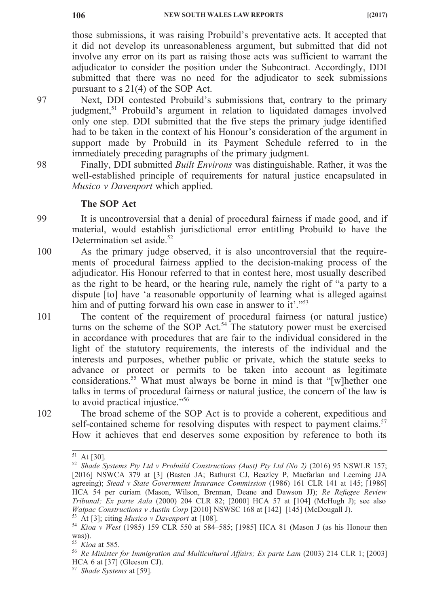those submissions, it was raising Probuild's preventative acts. It accepted that it did not develop its unreasonableness argument, but submitted that did not involve any error on its part as raising those acts was sufficient to warrant the adjudicator to consider the position under the Subcontract. Accordingly, DDI submitted that there was no need for the adjudicator to seek submissions pursuant to s 21(4) of the SOP Act.

Next, DDI contested Probuild's submissions that, contrary to the primary judgment,<sup>51</sup> Probuild's argument in relation to liquidated damages involved only one step. DDI submitted that the five steps the primary judge identified had to be taken in the context of his Honour's consideration of the argument in support made by Probuild in its Payment Schedule referred to in the immediately preceding paragraphs of the primary judgment.

Finally, DDI submitted *Built Environs* was distinguishable. Rather, it was the well-established principle of requirements for natural justice encapsulated in *Musico v Davenport* which applied.

### **The SOP Act**

99 It is uncontroversial that a denial of procedural fairness if made good, and if material, would establish jurisdictional error entitling Probuild to have the Determination set aside.<sup>52</sup>

- 100 As the primary judge observed, it is also uncontroversial that the requirements of procedural fairness applied to the decision-making process of the adjudicator. His Honour referred to that in contest here, most usually described as the right to be heard, or the hearing rule, namely the right of "a party to a dispute [to] have 'a reasonable opportunity of learning what is alleged against him and of putting forward his own case in answer to it'."<sup>53</sup>
- 101 The content of the requirement of procedural fairness (or natural justice) turns on the scheme of the SOP Act.<sup>54</sup> The statutory power must be exercised in accordance with procedures that are fair to the individual considered in the light of the statutory requirements, the interests of the individual and the interests and purposes, whether public or private, which the statute seeks to advance or protect or permits to be taken into account as legitimate considerations.55 What must always be borne in mind is that "[w]hether one talks in terms of procedural fairness or natural justice, the concern of the law is to avoid practical injustice."56

102

The broad scheme of the SOP Act is to provide a coherent, expeditious and self-contained scheme for resolving disputes with respect to payment claims.<sup>57</sup> How it achieves that end deserves some exposition by reference to both its

 $51$  At [30].

<sup>52</sup> *Shade Systems Pty Ltd v Probuild Constructions (Aust) Pty Ltd (No 2)* (2016) 95 NSWLR 157; [2016] NSWCA 379 at [3] (Basten JA; Bathurst CJ, Beazley P, Macfarlan and Leeming JJA agreeing); *Stead v State Government Insurance Commission* (1986) 161 CLR 141 at 145; [1986] HCA 54 per curiam (Mason, Wilson, Brennan, Deane and Dawson JJ); *Re Refugee Review Tribunal; Ex parte Aala* (2000) 204 CLR 82; [2000] HCA 57 at [104] (McHugh J); see also *Watpac Constructions v Austin Corp* [2010] NSWSC 168 at [142]–[145] (McDougall J).

<sup>53</sup> At [3]; citing *Musico v Davenport* at [108].

<sup>54</sup> *Kioa v West* (1985) 159 CLR 550 at 584–585; [1985] HCA 81 (Mason J (as his Honour then was)).

<sup>55</sup> *Kioa* at 585.

<sup>56</sup> *Re Minister for Immigration and Multicultural Affairs; Ex parte Lam* (2003) 214 CLR 1; [2003] HCA 6 at [37] (Gleeson CJ).

<sup>57</sup> *Shade Systems* at [59].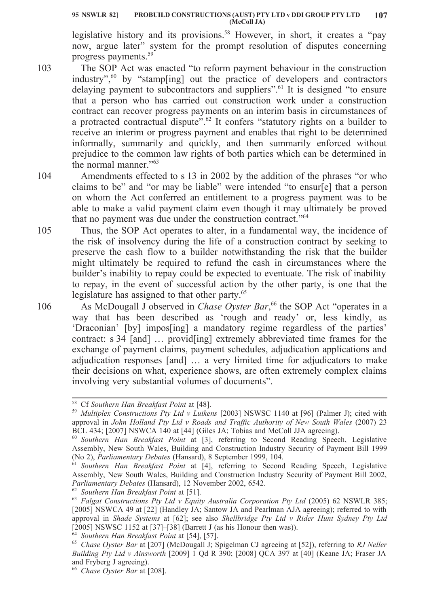legislative history and its provisions.<sup>58</sup> However, in short, it creates a "pay" now, argue later" system for the prompt resolution of disputes concerning progress payments.59

- 103 The SOP Act was enacted "to reform payment behaviour in the construction industry", $60$  by "stamp[ing] out the practice of developers and contractors delaying payment to subcontractors and suppliers".<sup>61</sup> It is designed "to ensure that a person who has carried out construction work under a construction contract can recover progress payments on an interim basis in circumstances of a protracted contractual dispute"<sup>62</sup> It confers "statutory rights on a builder to receive an interim or progress payment and enables that right to be determined informally, summarily and quickly, and then summarily enforced without prejudice to the common law rights of both parties which can be determined in the normal manner."<sup>63</sup>
- 104 Amendments effected to s 13 in 2002 by the addition of the phrases "or who claims to be" and "or may be liable" were intended "to ensur[e] that a person on whom the Act conferred an entitlement to a progress payment was to be able to make a valid payment claim even though it may ultimately be proved that no payment was due under the construction contract."<sup>64</sup>
	- Thus, the SOP Act operates to alter, in a fundamental way, the incidence of the risk of insolvency during the life of a construction contract by seeking to preserve the cash flow to a builder notwithstanding the risk that the builder might ultimately be required to refund the cash in circumstances where the builder's inability to repay could be expected to eventuate. The risk of inability to repay, in the event of successful action by the other party, is one that the legislature has assigned to that other party.<sup>65</sup>
	- As McDougall J observed in *Chase Oyster Bar*,<sup>66</sup> the SOP Act "operates in a way that has been described as 'rough and ready' or, less kindly, as 'Draconian' [by] impos[ing] a mandatory regime regardless of the parties' contract: s 34 [and] … provid[ing] extremely abbreviated time frames for the exchange of payment claims, payment schedules, adjudication applications and adjudication responses [and] … a very limited time for adjudicators to make their decisions on what, experience shows, are often extremely complex claims involving very substantial volumes of documents".

<sup>62</sup> *Southern Han Breakfast Point* at [51].

106

<sup>58</sup> Cf *Southern Han Breakfast Point* at [48].

<sup>59</sup> *Multiplex Constructions Pty Ltd v Luikens* [2003] NSWSC 1140 at [96] (Palmer J); cited with approval in *John Holland Pty Ltd v Roads and Traffic Authority of New South Wales* (2007) 23 BCL 434; [2007] NSWCA 140 at [44] (Giles JA; Tobias and McColl JJA agreeing).

<sup>60</sup> *Southern Han Breakfast Point* at [3], referring to Second Reading Speech, Legislative Assembly, New South Wales, Building and Construction Industry Security of Payment Bill 1999 (No 2), *Parliamentary Debates* (Hansard), 8 September 1999, 104.

<sup>61</sup> *Southern Han Breakfast Point* at [4], referring to Second Reading Speech, Legislative Assembly, New South Wales, Building and Construction Industry Security of Payment Bill 2002, *Parliamentary Debates* (Hansard), 12 November 2002, 6542.

<sup>63</sup> *Falgat Constructions Pty Ltd v Equity Australia Corporation Pty Ltd* (2005) 62 NSWLR 385; [2005] NSWCA 49 at [22] (Handley JA; Santow JA and Pearlman AJA agreeing); referred to with approval in *Shade Systems* at [62]; see also *Shellbridge Pty Ltd v Rider Hunt Sydney Pty Ltd*  $[2005]$  NSWSC 1152 at  $[37]$ - $[38]$  (Barrett J (as his Honour then was)).

<sup>64</sup> *Southern Han Breakfast Point* at [54], [57].

<sup>65</sup> *Chase Oyster Bar* at [207] (McDougall J; Spigelman CJ agreeing at [52]), referring to *RJ Neller Building Pty Ltd v Ainsworth* [2009] 1 Qd R 390; [2008] QCA 397 at [40] (Keane JA; Fraser JA and Fryberg J agreeing).

<sup>66</sup> *Chase Oyster Bar* at [208].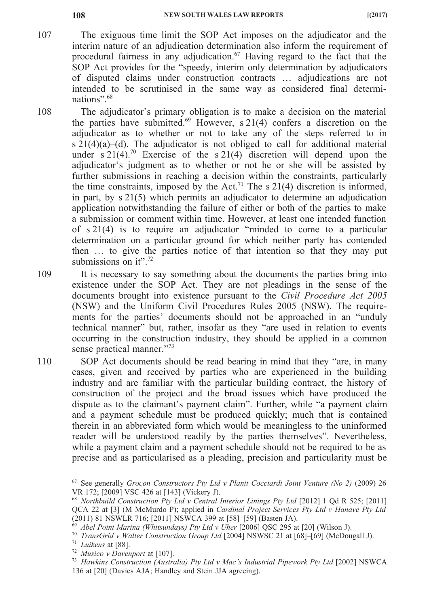- 107 The exiguous time limit the SOP Act imposes on the adjudicator and the interim nature of an adjudication determination also inform the requirement of procedural fairness in any adjudication.<sup>67</sup> Having regard to the fact that the SOP Act provides for the "speedy, interim only determination by adjudicators of disputed claims under construction contracts … adjudications are not intended to be scrutinised in the same way as considered final determinations".<sup>68</sup>
- 108 The adjudicator's primary obligation is to make a decision on the material the parties have submitted.<sup>69</sup> However, s 21(4) confers a discretion on the adjudicator as to whether or not to take any of the steps referred to in s 21(4)(a)–(d). The adjudicator is not obliged to call for additional material under s  $21(4)$ .<sup>70</sup> Exercise of the s  $21(4)$  discretion will depend upon the adjudicator's judgment as to whether or not he or she will be assisted by further submissions in reaching a decision within the constraints, particularly the time constraints, imposed by the Act.<sup>71</sup> The s 21(4) discretion is informed, in part, by s 21(5) which permits an adjudicator to determine an adjudication application notwithstanding the failure of either or both of the parties to make a submission or comment within time. However, at least one intended function of s 21(4) is to require an adjudicator "minded to come to a particular determination on a particular ground for which neither party has contended then … to give the parties notice of that intention so that they may put submissions on it".<sup>72</sup>
- 109 It is necessary to say something about the documents the parties bring into existence under the SOP Act. They are not pleadings in the sense of the documents brought into existence pursuant to the *Civil Procedure Act 2005* (NSW) and the Uniform Civil Procedures Rules 2005 (NSW). The requirements for the parties' documents should not be approached in an "unduly technical manner" but, rather, insofar as they "are used in relation to events occurring in the construction industry, they should be applied in a common sense practical manner."<sup>73</sup>
- 110 SOP Act documents should be read bearing in mind that they "are, in many cases, given and received by parties who are experienced in the building industry and are familiar with the particular building contract, the history of construction of the project and the broad issues which have produced the dispute as to the claimant's payment claim". Further, while "a payment claim and a payment schedule must be produced quickly; much that is contained therein in an abbreviated form which would be meaningless to the uninformed reader will be understood readily by the parties themselves". Nevertheless, while a payment claim and a payment schedule should not be required to be as precise and as particularised as a pleading, precision and particularity must be

<sup>67</sup> See generally *Grocon Constructors Pty Ltd v Planit Cocciardi Joint Venture (No 2)* (2009) 26 VR 172; [2009] VSC 426 at [143] (Vickery J).

<sup>68</sup> *Northbuild Construction Pty Ltd v Central Interior Linings Pty Ltd* [2012] 1 Qd R 525; [2011] QCA 22 at [3] (M McMurdo P); applied in *Cardinal Project Services Pty Ltd v Hanave Pty Ltd* (2011) 81 NSWLR 716; [2011] NSWCA 399 at [58]–[59] (Basten JA).

<sup>69</sup> *Abel Point Marina (Whitsundays) Pty Ltd v Uher* [2006] QSC 295 at [20] (Wilson J).

<sup>70</sup> *TransGrid v Walter Construction Group Ltd* [2004] NSWSC 21 at [68]–[69] (McDougall J).

<sup>71</sup> *Luikens* at [88].

<sup>72</sup> *Musico v Davenport* at [107].

<sup>73</sup> *Hawkins Construction (Australia) Pty Ltd v Mac's Industrial Pipework Pty Ltd* [2002] NSWCA 136 at [20] (Davies AJA; Handley and Stein JJA agreeing).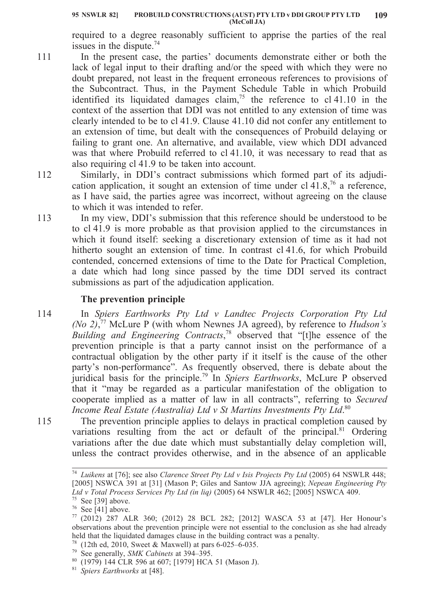required to a degree reasonably sufficient to apprise the parties of the real issues in the dispute. $74$ 

- 111 In the present case, the parties' documents demonstrate either or both the lack of legal input to their drafting and/or the speed with which they were no doubt prepared, not least in the frequent erroneous references to provisions of the Subcontract. Thus, in the Payment Schedule Table in which Probuild identified its liquidated damages claim,<sup>75</sup> the reference to cl 41.10 in the context of the assertion that DDI was not entitled to any extension of time was clearly intended to be to cl 41.9. Clause 41.10 did not confer any entitlement to an extension of time, but dealt with the consequences of Probuild delaying or failing to grant one. An alternative, and available, view which DDI advanced was that where Probuild referred to cl 41.10, it was necessary to read that as also requiring cl 41.9 to be taken into account.
- 112 Similarly, in DDI's contract submissions which formed part of its adjudication application, it sought an extension of time under cl  $41.8$ ,<sup>76</sup> a reference, as I have said, the parties agree was incorrect, without agreeing on the clause to which it was intended to refer.
	- In my view, DDI's submission that this reference should be understood to be to cl 41.9 is more probable as that provision applied to the circumstances in which it found itself: seeking a discretionary extension of time as it had not hitherto sought an extension of time. In contrast cl 41.6, for which Probuild contended, concerned extensions of time to the Date for Practical Completion, a date which had long since passed by the time DDI served its contract submissions as part of the adjudication application.

# **The prevention principle**

113

114

115

- In *Spiers Earthworks Pty Ltd v Landtec Projects Corporation Pty Ltd (No 2)*, <sup>77</sup> McLure P (with whom Newnes JA agreed), by reference to *Hudson's Building and Engineering Contracts*, <sup>78</sup> observed that "[t]he essence of the prevention principle is that a party cannot insist on the performance of a contractual obligation by the other party if it itself is the cause of the other party's non-performance". As frequently observed, there is debate about the juridical basis for the principle.79 In *Spiers Earthworks*, McLure P observed that it "may be regarded as a particular manifestation of the obligation to cooperate implied as a matter of law in all contracts", referring to *Secured Income Real Estate (Australia) Ltd v St Martins Investments Pty Ltd*. 80
- The prevention principle applies to delays in practical completion caused by variations resulting from the act or default of the principal.<sup>81</sup> Ordering variations after the due date which must substantially delay completion will, unless the contract provides otherwise, and in the absence of an applicable

<sup>79</sup> See generally, *SMK Cabinets* at 394–395.

<sup>74</sup> *Luikens* at [76]; see also *Clarence Street Pty Ltd v Isis Projects Pty Ltd* (2005) 64 NSWLR 448; [2005] NSWCA 391 at [31] (Mason P; Giles and Santow JJA agreeing); *Nepean Engineering Pty Ltd v Total Process Services Pty Ltd (in liq)* (2005) 64 NSWLR 462; [2005] NSWCA 409.  $75$  See [39] above.

 $76$  See [41] above.

 $77$  (2012) 287 ALR 360; (2012) 28 BCL 282; [2012] WASCA 53 at [47]. Her Honour's observations about the prevention principle were not essential to the conclusion as she had already held that the liquidated damages clause in the building contract was a penalty.

<sup>&</sup>lt;sup>78</sup> (12th ed, 2010, Sweet & Maxwell) at pars  $6-025-6-035$ .

<sup>80</sup> (1979) 144 CLR 596 at 607; [1979] HCA 51 (Mason J).

<sup>81</sup> *Spiers Earthworks* at [48].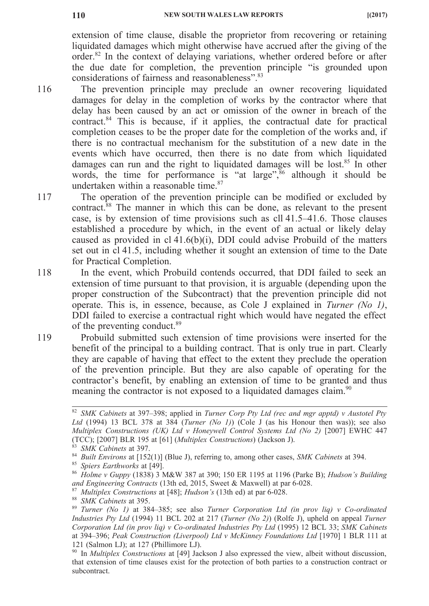the due date for completion, the prevention principle "is grounded upon

extension of time clause, disable the proprietor from recovering or retaining liquidated damages which might otherwise have accrued after the giving of the order.82 In the context of delaying variations, whether ordered before or after

- 116 considerations of fairness and reasonableness".<sup>83</sup> The prevention principle may preclude an owner recovering liquidated damages for delay in the completion of works by the contractor where that delay has been caused by an act or omission of the owner in breach of the contract.84 This is because, if it applies, the contractual date for practical completion ceases to be the proper date for the completion of the works and, if there is no contractual mechanism for the substitution of a new date in the events which have occurred, then there is no date from which liquidated damages can run and the right to liquidated damages will be lost.<sup>85</sup> In other words, the time for performance is "at large", $86$  although it should be undertaken within a reasonable time. $87$
- 117 The operation of the prevention principle can be modified or excluded by contract.88 The manner in which this can be done, as relevant to the present case, is by extension of time provisions such as cll 41.5–41.6. Those clauses established a procedure by which, in the event of an actual or likely delay caused as provided in cl 41.6(b)(i), DDI could advise Probuild of the matters set out in cl 41.5, including whether it sought an extension of time to the Date for Practical Completion.
- 118 In the event, which Probuild contends occurred, that DDI failed to seek an extension of time pursuant to that provision, it is arguable (depending upon the proper construction of the Subcontract) that the prevention principle did not operate. This is, in essence, because, as Cole J explained in *Turner (No 1)*, DDI failed to exercise a contractual right which would have negated the effect of the preventing conduct.<sup>89</sup>
	- Probuild submitted such extension of time provisions were inserted for the benefit of the principal to a building contract. That is only true in part. Clearly they are capable of having that effect to the extent they preclude the operation of the prevention principle. But they are also capable of operating for the contractor's benefit, by enabling an extension of time to be granted and thus meaning the contractor is not exposed to a liquidated damages claim.<sup>90</sup>

<sup>82</sup> *SMK Cabinets* at 397–398; applied in *Turner Corp Pty Ltd (rec and mgr apptd) v Austotel Pty Ltd* (1994) 13 BCL 378 at 384 (*Turner (No 1)*) (Cole J (as his Honour then was)); see also *Multiplex Constructions (UK) Ltd v Honeywell Control Systems Ltd (No 2)* [2007] EWHC 447 (TCC); [2007] BLR 195 at [61] (*Multiplex Constructions*) (Jackson J).

<sup>83</sup> *SMK Cabinets* at 397.

<sup>84</sup> *Built Environs* at [152(1)] (Blue J), referring to, among other cases, *SMK Cabinets* at 394.

<sup>85</sup> *Spiers Earthworks* at [49].

<sup>86</sup> *Holme v Guppy* (1838) 3 M&W 387 at 390; 150 ER 1195 at 1196 (Parke B); *Hudson's Building and Engineering Contracts* (13th ed, 2015, Sweet & Maxwell) at par 6-028.

<sup>87</sup> *Multiplex Constructions* at [48]; *Hudson's* (13th ed) at par 6-028.

<sup>88</sup> *SMK Cabinets* at 395.

<sup>89</sup> *Turner (No 1)* at 384–385; see also *Turner Corporation Ltd (in prov liq) v Co-ordinated Industries Pty Ltd* (1994) 11 BCL 202 at 217 (*Turner (No 2)*) (Rolfe J), upheld on appeal *Turner Corporation Ltd (in prov liq) v Co-ordinated Industries Pty Ltd* (1995) 12 BCL 33; *SMK Cabinets* at 394–396; *Peak Construction (Liverpool) Ltd v McKinney Foundations Ltd* [1970] 1 BLR 111 at 121 (Salmon LJ); at 127 (Phillimore LJ).

<sup>90</sup> In *Multiplex Constructions* at [49] Jackson J also expressed the view, albeit without discussion, that extension of time clauses exist for the protection of both parties to a construction contract or subcontract.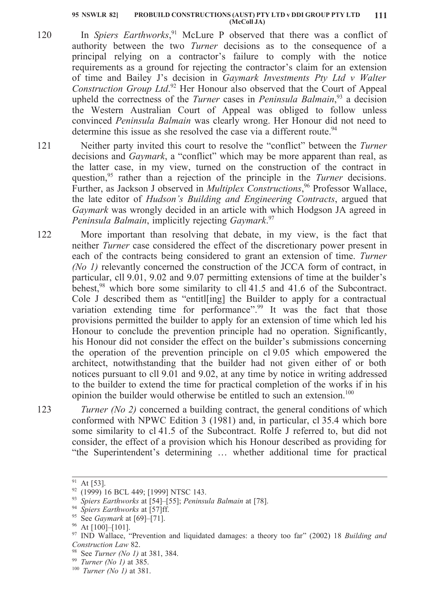- 120 In *Spiers Earthworks*, <sup>91</sup> McLure P observed that there was a conflict of authority between the two *Turner* decisions as to the consequence of a principal relying on a contractor's failure to comply with the notice requirements as a ground for rejecting the contractor's claim for an extension of time and Bailey J's decision in *Gaymark Investments Pty Ltd v Walter Construction Group Ltd*. <sup>92</sup> Her Honour also observed that the Court of Appeal upheld the correctness of the *Turner* cases in *Peninsula Balmain*, <sup>93</sup> a decision the Western Australian Court of Appeal was obliged to follow unless convinced *Peninsula Balmain* was clearly wrong. Her Honour did not need to determine this issue as she resolved the case via a different route.<sup>94</sup>
- 121 Neither party invited this court to resolve the "conflict" between the *Turner* decisions and *Gaymark*, a "conflict" which may be more apparent than real, as the latter case, in my view, turned on the construction of the contract in question,95 rather than a rejection of the principle in the *Turner* decisions. Further, as Jackson J observed in *Multiplex Constructions*, <sup>96</sup> Professor Wallace, the late editor of *Hudson's Building and Engineering Contracts*, argued that *Gaymark* was wrongly decided in an article with which Hodgson JA agreed in *Peninsula Balmain*, implicitly rejecting *Gaymark*. 97
- 122 More important than resolving that debate, in my view, is the fact that neither *Turner* case considered the effect of the discretionary power present in each of the contracts being considered to grant an extension of time. *Turner (No 1)* relevantly concerned the construction of the JCCA form of contract, in particular, cll 9.01, 9.02 and 9.07 permitting extensions of time at the builder's behest,<sup>98</sup> which bore some similarity to cll 41.5 and 41.6 of the Subcontract. Cole J described them as "entitl[ing] the Builder to apply for a contractual variation extending time for performance".<sup>99</sup> It was the fact that those provisions permitted the builder to apply for an extension of time which led his Honour to conclude the prevention principle had no operation. Significantly, his Honour did not consider the effect on the builder's submissions concerning the operation of the prevention principle on cl 9.05 which empowered the architect, notwithstanding that the builder had not given either of or both notices pursuant to cll 9.01 and 9.02, at any time by notice in writing addressed to the builder to extend the time for practical completion of the works if in his opinion the builder would otherwise be entitled to such an extension.<sup>100</sup>
- 123 *Turner (No 2)* concerned a building contract, the general conditions of which conformed with NPWC Edition 3 (1981) and, in particular, cl 35.4 which bore some similarity to cl 41.5 of the Subcontract. Rolfe J referred to, but did not consider, the effect of a provision which his Honour described as providing for "the Superintendent's determining … whether additional time for practical

 $91$  At [53].

<sup>&</sup>lt;sup>92</sup> (1999) 16 BCL 449; [1999] NTSC 143.

<sup>93</sup> *Spiers Earthworks* at [54]–[55]; *Peninsula Balmain* at [78].

<sup>94</sup> *Spiers Earthworks* at [57]ff.

<sup>95</sup> See *Gaymark* at [69]–[71].

<sup>96</sup> At [100]–[101].

<sup>97</sup> IND Wallace, "Prevention and liquidated damages: a theory too far" (2002) 18 *Building and Construction Law* 82.

<sup>98</sup> See *Turner (No 1)* at 381, 384.

<sup>99</sup> *Turner (No 1)* at 385.

<sup>100</sup> *Turner (No 1)* at 381.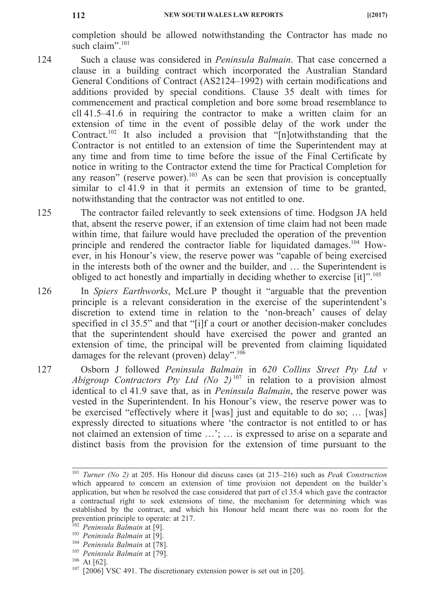completion should be allowed notwithstanding the Contractor has made no such claim".<sup>101</sup>

- 124 Such a clause was considered in *Peninsula Balmain*. That case concerned a clause in a building contract which incorporated the Australian Standard General Conditions of Contract (AS2124–1992) with certain modifications and additions provided by special conditions. Clause 35 dealt with times for commencement and practical completion and bore some broad resemblance to cll 41.5–41.6 in requiring the contractor to make a written claim for an extension of time in the event of possible delay of the work under the Contract.<sup>102</sup> It also included a provision that " $[n]$ otwithstanding that the Contractor is not entitled to an extension of time the Superintendent may at any time and from time to time before the issue of the Final Certificate by notice in writing to the Contractor extend the time for Practical Completion for any reason" (reserve power).<sup>103</sup> As can be seen that provision is conceptually similar to cl 41.9 in that it permits an extension of time to be granted, notwithstanding that the contractor was not entitled to one.
- 125 The contractor failed relevantly to seek extensions of time. Hodgson JA held that, absent the reserve power, if an extension of time claim had not been made within time, that failure would have precluded the operation of the prevention principle and rendered the contractor liable for liquidated damages.<sup>104</sup> However, in his Honour's view, the reserve power was "capable of being exercised in the interests both of the owner and the builder, and … the Superintendent is obliged to act honestly and impartially in deciding whether to exercise [it]".<sup>105</sup>
- 126 In *Spiers Earthworks*, McLure P thought it "arguable that the prevention principle is a relevant consideration in the exercise of the superintendent's discretion to extend time in relation to the 'non-breach' causes of delay specified in cl 35.5" and that "[i]f a court or another decision-maker concludes that the superintendent should have exercised the power and granted an extension of time, the principal will be prevented from claiming liquidated damages for the relevant (proven) delay".<sup>106</sup>
- 127 Osborn J followed *Peninsula Balmain* in *620 Collins Street Pty Ltd v Abigroup Contractors Pty Ltd (No 2)*<sup>107</sup> in relation to a provision almost identical to cl 41.9 save that, as in *Peninsula Balmain*, the reserve power was vested in the Superintendent. In his Honour's view, the reserve power was to be exercised "effectively where it [was] just and equitable to do so; … [was] expressly directed to situations where 'the contractor is not entitled to or has not claimed an extension of time …'; … is expressed to arise on a separate and distinct basis from the provision for the extension of time pursuant to the

<sup>101</sup> *Turner (No 2)* at 205. His Honour did discuss cases (at 215–216) such as *Peak Construction* which appeared to concern an extension of time provision not dependent on the builder's application, but when he resolved the case considered that part of cl 35.4 which gave the contractor a contractual right to seek extensions of time, the mechanism for determining which was established by the contract, and which his Honour held meant there was no room for the prevention principle to operate: at 217.

<sup>102</sup> *Peninsula Balmain* at [9].

<sup>103</sup> *Peninsula Balmain* at [9].

<sup>104</sup> *Peninsula Balmain* at [78].

<sup>105</sup> *Peninsula Balmain* at [79].

 $106$  At [62].

 $107$   $[2006]$  VSC 491. The discretionary extension power is set out in [20].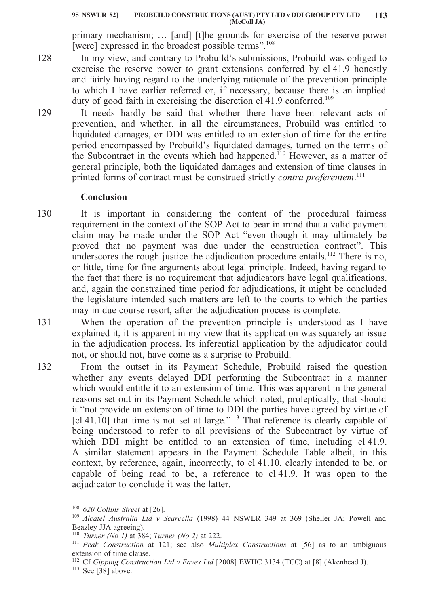#### **PROBUILD CONSTRUCTIONS (AUST) PTY LTD v DDI GROUP PTY LTD 95 NSWLR 82] 113 (McColl JA)**

primary mechanism; … [and] [t]he grounds for exercise of the reserve power [were] expressed in the broadest possible terms".<sup>108</sup>

- In my view, and contrary to Probuild's submissions, Probuild was obliged to exercise the reserve power to grant extensions conferred by cl 41.9 honestly and fairly having regard to the underlying rationale of the prevention principle to which I have earlier referred or, if necessary, because there is an implied duty of good faith in exercising the discretion cl 41.9 conferred.<sup>109</sup>
- 129 It needs hardly be said that whether there have been relevant acts of prevention, and whether, in all the circumstances, Probuild was entitled to liquidated damages, or DDI was entitled to an extension of time for the entire period encompassed by Probuild's liquidated damages, turned on the terms of the Subcontract in the events which had happened.<sup>110</sup> However, as a matter of general principle, both the liquidated damages and extension of time clauses in printed forms of contract must be construed strictly *contra proferentem*. 111

## **Conclusion**

- 130 It is important in considering the content of the procedural fairness requirement in the context of the SOP Act to bear in mind that a valid payment claim may be made under the SOP Act "even though it may ultimately be proved that no payment was due under the construction contract". This underscores the rough justice the adjudication procedure entails.<sup>112</sup> There is no, or little, time for fine arguments about legal principle. Indeed, having regard to the fact that there is no requirement that adjudicators have legal qualifications, and, again the constrained time period for adjudications, it might be concluded the legislature intended such matters are left to the courts to which the parties may in due course resort, after the adjudication process is complete.
- 131 When the operation of the prevention principle is understood as I have explained it, it is apparent in my view that its application was squarely an issue in the adjudication process. Its inferential application by the adjudicator could not, or should not, have come as a surprise to Probuild.
- 132 From the outset in its Payment Schedule, Probuild raised the question whether any events delayed DDI performing the Subcontract in a manner which would entitle it to an extension of time. This was apparent in the general reasons set out in its Payment Schedule which noted, proleptically, that should it "not provide an extension of time to DDI the parties have agreed by virtue of [cl 41.10] that time is not set at large."<sup>113</sup> That reference is clearly capable of being understood to refer to all provisions of the Subcontract by virtue of which DDI might be entitled to an extension of time, including cl 41.9. A similar statement appears in the Payment Schedule Table albeit, in this context, by reference, again, incorrectly, to cl 41.10, clearly intended to be, or capable of being read to be, a reference to cl 41.9. It was open to the adjudicator to conclude it was the latter.

<sup>108</sup> *620 Collins Street* at [26].

<sup>109</sup> *Alcatel Australia Ltd v Scarcella* (1998) 44 NSWLR 349 at 369 (Sheller JA; Powell and Beazley JJA agreeing).

<sup>110</sup> *Turner (No 1)* at 384; *Turner (No 2)* at 222.

<sup>111</sup> *Peak Construction* at 121; see also *Multiplex Constructions* at [56] as to an ambiguous extension of time clause.

<sup>&</sup>lt;sup>112</sup> Cf *Gipping Construction Ltd v Eaves Ltd* [2008] EWHC 3134 (TCC) at [8] (Akenhead J).

 $113$  See [ $38$ ] above.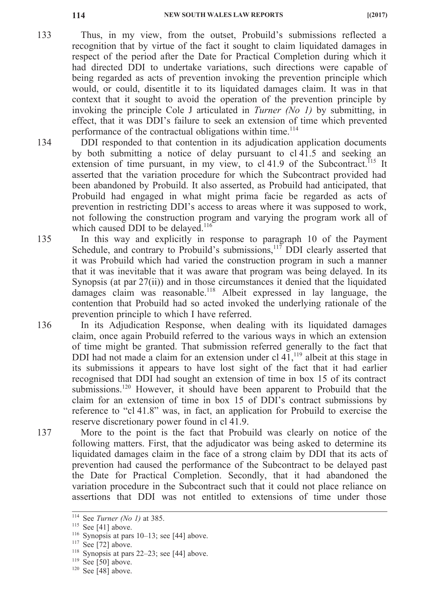- 133 Thus, in my view, from the outset, Probuild's submissions reflected a recognition that by virtue of the fact it sought to claim liquidated damages in respect of the period after the Date for Practical Completion during which it had directed DDI to undertake variations, such directions were capable of being regarded as acts of prevention invoking the prevention principle which would, or could, disentitle it to its liquidated damages claim. It was in that context that it sought to avoid the operation of the prevention principle by invoking the principle Cole J articulated in *Turner (No 1)* by submitting, in effect, that it was DDI's failure to seek an extension of time which prevented performance of the contractual obligations within time.<sup>114</sup>
- 134 DDI responded to that contention in its adjudication application documents by both submitting a notice of delay pursuant to cl 41.5 and seeking an extension of time pursuant, in my view, to  $cl 41.9$  of the Subcontract.<sup>115</sup> It asserted that the variation procedure for which the Subcontract provided had been abandoned by Probuild. It also asserted, as Probuild had anticipated, that Probuild had engaged in what might prima facie be regarded as acts of prevention in restricting DDI's access to areas where it was supposed to work, not following the construction program and varying the program work all of which caused DDI to be delayed.<sup>116</sup>
- 135 In this way and explicitly in response to paragraph 10 of the Payment Schedule, and contrary to Probuild's submissions, $117$  DDI clearly asserted that it was Probuild which had varied the construction program in such a manner that it was inevitable that it was aware that program was being delayed. In its Synopsis (at par 27(ii)) and in those circumstances it denied that the liquidated damages claim was reasonable.<sup>118</sup> Albeit expressed in lay language, the contention that Probuild had so acted invoked the underlying rationale of the prevention principle to which I have referred.
- 136 In its Adjudication Response, when dealing with its liquidated damages claim, once again Probuild referred to the various ways in which an extension of time might be granted. That submission referred generally to the fact that DDI had not made a claim for an extension under cl  $41$ ,<sup>119</sup> albeit at this stage in its submissions it appears to have lost sight of the fact that it had earlier recognised that DDI had sought an extension of time in box 15 of its contract submissions.<sup>120</sup> However, it should have been apparent to Probuild that the claim for an extension of time in box 15 of DDI's contract submissions by reference to "cl 41.8" was, in fact, an application for Probuild to exercise the reserve discretionary power found in cl 41.9.
- 137 More to the point is the fact that Probuild was clearly on notice of the following matters. First, that the adjudicator was being asked to determine its liquidated damages claim in the face of a strong claim by DDI that its acts of prevention had caused the performance of the Subcontract to be delayed past the Date for Practical Completion. Secondly, that it had abandoned the variation procedure in the Subcontract such that it could not place reliance on assertions that DDI was not entitled to extensions of time under those

<sup>114</sup> See *Turner (No 1)* at 385.

 $115$  See [41] above.

<sup>116</sup> Synopsis at pars 10–13; see [44] above.

 $117$  See [72] above.

<sup>&</sup>lt;sup>118</sup> Synopsis at pars  $22-23$ ; see [44] above.

 $119$  See [50] above.

 $120$  See [48] above.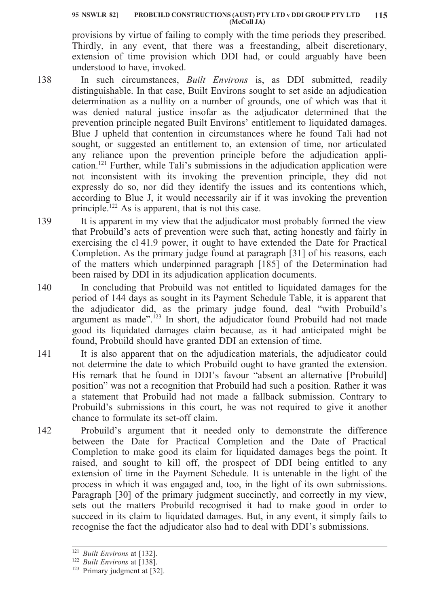provisions by virtue of failing to comply with the time periods they prescribed. Thirdly, in any event, that there was a freestanding, albeit discretionary, extension of time provision which DDI had, or could arguably have been understood to have, invoked.

- 138 In such circumstances, *Built Environs* is, as DDI submitted, readily distinguishable. In that case, Built Environs sought to set aside an adjudication determination as a nullity on a number of grounds, one of which was that it was denied natural justice insofar as the adjudicator determined that the prevention principle negated Built Environs' entitlement to liquidated damages. Blue J upheld that contention in circumstances where he found Tali had not sought, or suggested an entitlement to, an extension of time, nor articulated any reliance upon the prevention principle before the adjudication application.121 Further, while Tali's submissions in the adjudication application were not inconsistent with its invoking the prevention principle, they did not expressly do so, nor did they identify the issues and its contentions which, according to Blue J, it would necessarily air if it was invoking the prevention principle.<sup>122</sup> As is apparent, that is not this case.
- 139 It is apparent in my view that the adjudicator most probably formed the view that Probuild's acts of prevention were such that, acting honestly and fairly in exercising the cl 41.9 power, it ought to have extended the Date for Practical Completion. As the primary judge found at paragraph [31] of his reasons, each of the matters which underpinned paragraph [185] of the Determination had been raised by DDI in its adjudication application documents.
- 140 In concluding that Probuild was not entitled to liquidated damages for the period of 144 days as sought in its Payment Schedule Table, it is apparent that the adjudicator did, as the primary judge found, deal "with Probuild's argument as made".<sup>123</sup> In short, the adjudicator found Probuild had not made good its liquidated damages claim because, as it had anticipated might be found, Probuild should have granted DDI an extension of time.
- 141 It is also apparent that on the adjudication materials, the adjudicator could not determine the date to which Probuild ought to have granted the extension. His remark that he found in DDI's favour "absent an alternative [Probuild] position" was not a recognition that Probuild had such a position. Rather it was a statement that Probuild had not made a fallback submission. Contrary to Probuild's submissions in this court, he was not required to give it another chance to formulate its set-off claim.
- 142 Probuild's argument that it needed only to demonstrate the difference between the Date for Practical Completion and the Date of Practical Completion to make good its claim for liquidated damages begs the point. It raised, and sought to kill off, the prospect of DDI being entitled to any extension of time in the Payment Schedule. It is untenable in the light of the process in which it was engaged and, too, in the light of its own submissions. Paragraph [30] of the primary judgment succinctly, and correctly in my view, sets out the matters Probuild recognised it had to make good in order to succeed in its claim to liquidated damages. But, in any event, it simply fails to recognise the fact the adjudicator also had to deal with DDI's submissions.

<sup>121</sup> *Built Environs* at [132].

<sup>122</sup> *Built Environs* at [138].

<sup>&</sup>lt;sup>123</sup> Primary judgment at [32].